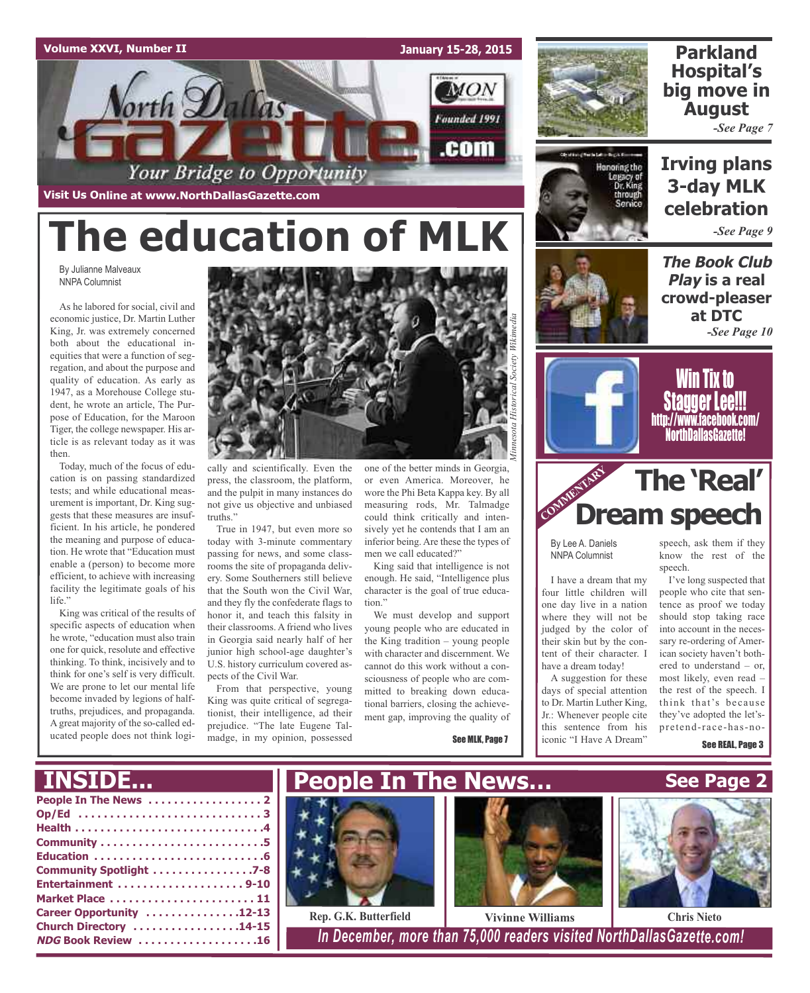

**Visit Us Online at www.NorthDallasGazette.com**

# **The education of MLK**

By Julianne Malveaux NNPA Columnist

As he labored for social, civil and economic justice, Dr. Martin Luther King, Jr. was extremely concerned both about the educational inequities that were a function of segregation, and about the purpose and quality of education. As early as 1947, as a Morehouse College student, he wrote an article, The Purpose of Education, for the Maroon Tiger, the college newspaper. His article is as relevant today as it was then.

Today, much of the focus of education is on passing standardized tests; and while educational measurement is important, Dr. King suggests that these measures are insufficient. In his article, he pondered the meaning and purpose of education. He wrote that "Education must enable a (person) to become more efficient, to achieve with increasing facility the legitimate goals of his life."

King was critical of the results of specific aspects of education when he wrote, "education must also train one for quick, resolute and effective thinking. To think, incisively and to think for one's self is very difficult. We are prone to let our mental life become invaded by legions of halftruths, prejudices, and propaganda. A great majority of the so-called educated people does not think logi-

**Church Directory . . . . . . . . . . . . . . . . .14-15**



cally and scientifically. Even the press, the classroom, the platform, and the pulpit in many instances do not give us objective and unbiased truths."

True in 1947, but even more so today with 3-minute commentary passing for news, and some classrooms the site of propaganda delivery. Some Southerners still believe that the South won the Civil War, and they fly the confederate flags to honor it, and teach this falsity in their classrooms. A friend who lives in Georgia said nearly half of her junior high school-age daughter's U.S. history curriculum covered aspects of the Civil War.

From that perspective, young King was quite critical of segregationist, their intelligence, ad their prejudice. "The late Eugene Talmadge, in my opinion, possessed one of the better minds in Georgia, or even America. Moreover, he wore the Phi Beta Kappa key. By all measuring rods, Mr. Talmadge could think critically and intensively yet he contends that I am an inferior being. Are these the types of men we call educated?"

King said that intelligence is not enough. He said, "Intelligence plus character is the goal of true education"

We must develop and support young people who are educated in the King tradition – young people with character and discernment. We cannot do this work without a consciousness of people who are committed to breaking down educational barriers, closing the achievement gap, improving the quality of

See MLK, Page 7



### **Parkland Hospital's big move in August** *-See Page 7*



**Irving plans 3-day MLK celebration** *-See Page 9*

**The Book Club Play is a real crowd-pleaser at DTC** *-See Page 10*



Win Tix to Stagger Lee!!! http://www.facebook.com/ NorthDallasGazette!



By Lee A. Daniels NNPA Columnist

I have a dream that my four little children will one day live in a nation where they will not be judged by the color of their skin but by the content of their character. I have a dream today!

A suggestion for these days of special attention to Dr. Martin Luther King, Jr.: Whenever people cite this sentence from his iconic "I Have A Dream"

speech, ask them if they know the rest of the speech.

I've long suspected that people who cite that sentence as proof we today should stop taking race into account in the necessary re-ordering of American society haven't bothered to understand – or, most likely, even read – the rest of the speech. I think that's because they've adopted the let'spretend-race-has-no-

See REAL, Page 3

### **People In The News . . . . . . . . . . . . . . . . . . 2 Op/Ed . . . . . . . . . . . . . . . . . . . . . . . . . . . . . 3 Health . . . . . . . . . . . . . . . . . . . . . . . . . . . . . .4 Community . . . . . . . . . . . . . . . . . . . . . . . . . .5 Education . . . . . . . . . . . . . . . . . . . . . . . . . . .6 Community Spotlight . . . . . . . . . . . . . . . .7-8 Entertainment . . . . . . . . . . . . . . . . . . . . 9-10 Market Place . . . . . . . . . . . . . . . . . . . . . . . 11 Career Opportunity . . . . . . . . . . . . . . .12-13 INSIDE... People In The News…**



**Rep. G.K. Butterfield Vivinne Williams Chris Nieto**

**NDG Book Review . . . . . . . . . . . . . . . . . . .16** *In December, more than 75,000 readers visited NorthDallasGazette.com!*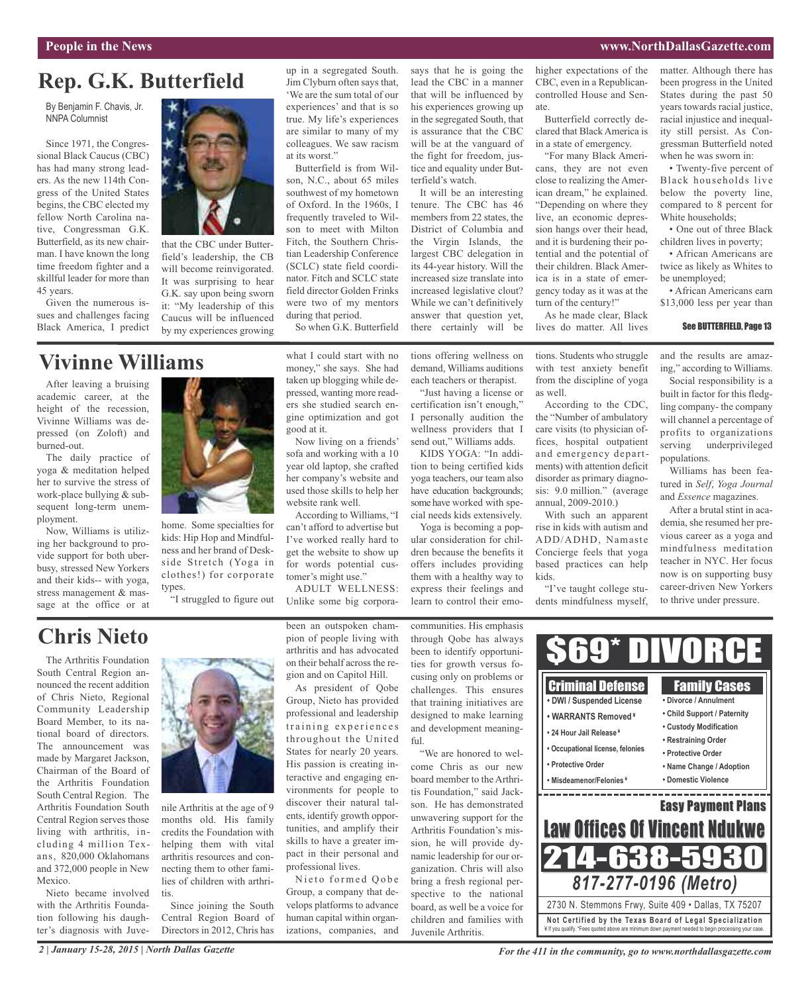### **People in the News www.NorthDallasGazette.com**

### **Rep. G.K. Butterfield**

By Benjamin F. Chavis, Jr. NNPA Columnist

Since 1971, the Congressional Black Caucus (CBC) has had many strong leaders. As the new 114th Congress of the United States begins, the CBC elected my fellow North Carolina native, Congressman G.K. Butterfield, as its new chairman. I have known the long time freedom fighter and a skillful leader for more than 45 years.

Given the numerous issues and challenges facing Black America, I predict

### **Vivinne Williams**

After leaving a bruising academic career, at the height of the recession, Vivinne Williams was depressed (on Zoloft) and burned-out.

The daily practice of yoga & meditation helped her to survive the stress of work-place bullying & subsequent long-term unemployment.

Now, Williams is utilizing her background to provide support for both uberbusy, stressed New Yorkers and their kids-- with yoga, stress management & massage at the office or at



that the CBC under Butterfield's leadership, the CB will become reinvigorated. It was surprising to hear G.K. say upon being sworn it: "My leadership of this Caucus will be influenced by my experiences growing

up in a segregated South. Jim Clyburn often says that, 'We are the sum total of our experiences' and that is so true. My life's experiences are similar to many of my colleagues. We saw racism at its worst."

Butterfield is from Wilson, N.C., about 65 miles southwest of my hometown of Oxford. In the 1960s, I frequently traveled to Wilson to meet with Milton Fitch, the Southern Christian Leadership Conference (SCLC) state field coordinator. Fitch and SCLC state field director Golden Frinks were two of my mentors during that period.

So when G.K. Butterfield

what I could start with no money," she says. She had taken up blogging while depressed, wanting more readers she studied search engine optimization and got

Now living on a friends' sofa and working with a 10 year old laptop, she crafted her company's website and used those skills to help her

According to Williams, "I can't afford to advertise but I've worked really hard to get the website to show up for words potential customer's might use."

good at it.

website rank well.

says that he is going the lead the CBC in a manner that will be influenced by his experiences growing up in the segregated South, that is assurance that the CBC will be at the vanguard of the fight for freedom, justice and equality under Butterfield's watch.

It will be an interesting tenure. The CBC has 46 members from 22 states, the District of Columbia and the Virgin Islands, the largest CBC delegation in its 44-year history. Will the increased size translate into increased legislative clout? While we can't definitively answer that question yet, there certainly will be

tions offering wellness on demand, Williams auditions each teachers or therapist.

"Just having a license or certification isn't enough," I personally audition the wellness providers that I send out," Williams adds.

KIDS YOGA: "In addition to being certified kids yoga teachers, our team also have education backgrounds; some have worked with special needs kids extensively.

Yoga is becoming a popular consideration for children because the benefits it offers includes providing them with a healthy way to express their feelings and learn to control their emotions. Students who struggle with test anxiety benefit from the discipline of yoga as well.

As he made clear, Black lives do matter. All lives

higher expectations of the CBC, even in a Republicancontrolled House and Sen-

Butterfield correctly declared that Black America is in a state of emergency. "For many Black Americans, they are not even close to realizing the American dream," he explained. "Depending on where they live, an economic depression hangs over their head, and it is burdening their potential and the potential of their children. Black America is in a state of emergency today as it was at the turn of the century!"

ate.

According to the CDC, the "Number of ambulatory care visits (to physician offices, hospital outpatient and emergency departments) with attention deficit disorder as primary diagnosis: 9.0 million." (average annual, 2009-2010.)

With such an apparent rise in kids with autism and ADD/ADHD, Namaste Concierge feels that yoga based practices can help kids.

"I've taught college students mindfulness myself, matter. Although there has been progress in the United States during the past 50 years towards racial justice, racial injustice and inequality still persist. As Congressman Butterfield noted when he was sworn in:

• Twenty-five percent of Black households live below the poverty line, compared to 8 percent for White households;

• One out of three Black children lives in poverty;

• African Americans are twice as likely as Whites to be unemployed;

• African Americans earn \$13,000 less per year than

See BUTTERFIELD, Page 13

and the results are amazing," according to Williams.

Social responsibility is a built in factor for this fledgling company- the company will channel a percentage of profits to organizations serving underprivileged populations.

Williams has been featured in *Self*, *Yoga Journal* and *Essence* magazines.

After a brutal stint in academia, she resumed her previous career as a yoga and mindfulness meditation teacher in NYC. Her focus now is on supporting busy career-driven New Yorkers to thrive under pressure.

### **Chris Nieto**

The Arthritis Foundation South Central Region announced the recent addition of Chris Nieto, Regional Community Leadership Board Member, to its national board of directors. The announcement was made by Margaret Jackson, Chairman of the Board of the Arthritis Foundation South Central Region. The Arthritis Foundation South Central Region serves those living with arthritis, including 4 million Texans, 820,000 Oklahomans and 372,000 people in New Mexico.

Nieto became involved with the Arthritis Foundation following his daughter's diagnosis with Juve-



home. Some specialties for kids: Hip Hop and Mindfulness and her brand of Deskside Stretch (Yoga in clothes!) for corporate

"I struggled to figure out

types.

nile Arthritis at the age of 9 months old. His family credits the Foundation with helping them with vital arthritis resources and connecting them to other families of children with arthritis.

Since joining the South Central Region Board of Directors in 2012, Chris has been an outspoken champion of people living with arthritis and has advocated on their behalf across the region and on Capitol Hill.

ADULT WELLNESS: Unlike some big corpora-

As president of Qobe Group, Nieto has provided professional and leadership training experiences throughout the United States for nearly 20 years. His passion is creating interactive and engaging environments for people to discover their natural talents, identify growth opportunities, and amplify their skills to have a greater impact in their personal and professional lives.

Nieto formed Qobe Group, a company that develops platforms to advance human capital within organizations, companies, and

communities. His emphasis through Qobe has always been to identify opportunities for growth versus focusing only on problems or challenges. This ensures that training initiatives are designed to make learning and development meaningful.

"We are honored to welcome Chris as our new board member to the Arthritis Foundation," said Jackson. He has demonstrated unwavering support for the Arthritis Foundation's mission, he will provide dynamic leadership for our organization. Chris will also bring a fresh regional perspective to the national board, as well be a voice for children and families with



*2 | January 15-28, 2015 | North Dallas Gazette*

*For the 411 in the community, go to www.northdallasgazette.com*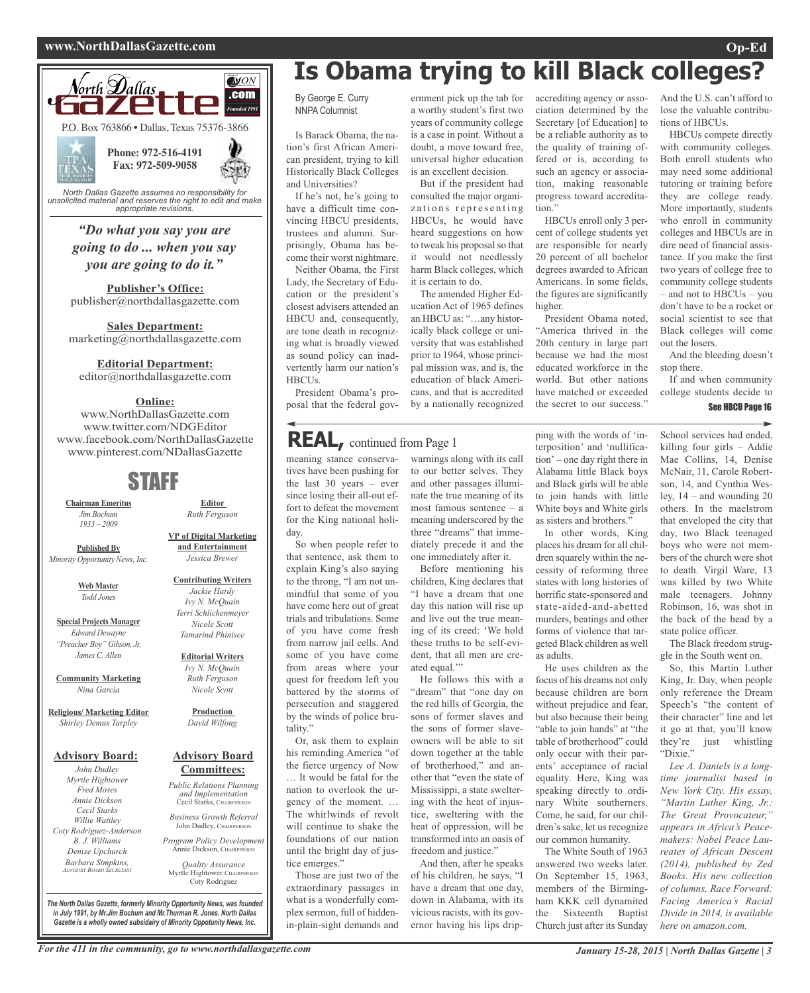### **www.NorthDallasGazette.com Op-Ed**



*unsolicited material and reserves the right to edit and make appropriate revisions.*

### *"Do what you say you are going to do ... when you say you are going to do it."*

**Publisher's Office:** publisher@northdallasgazette.com

**Sales Department:** marketing@northdallasgazette.com

**Editorial Department:**

editor@northdallasgazette.com

### **Online:**

www.NorthDallasGazette.com www.twitter.com/NDGEditor www.facebook.com/NorthDallasGazette www.pinterest.com/NDallasGazette

### STAFF

**Chairman Emeritus** *Jim Bochum 1933 – 2009*

**Published By** *Minority Opportunity News, Inc.*

> **Web Master** *Todd Jones*

**Special Projects Manager** *Edward Dewayne "Preacher Boy" Gibson, Jr. James C. Allen*

**Community Marketing** *Nina Garcia*

**Religious/ Marketing Editor** *Shirley Demus Tarpley*

#### **Advisory Board:**

*John Dudley Myrtle Hightower Fred Moses Annie Dickson Cecil Starks Willie Wattley Coty Rodriguez-Anderson B. J. Williams Denise Upchurch Barbara Simpkins, ADVISORY BOARD SECRETARY*

**VP of Digital Marketing and Entertainment**

*Jessica Brewer*

**Editor** *Ruth Ferguson*

**Contributing Writers** *Jackie Hardy Ivy N. McQuain Terri Schlichenmeyer Nicole Scott*

### **Editorial Writers** *Ivy N. McQuain*

*Tamarind Phinisee*

*Ruth Ferguson Nicole Scott*

**Production** *David Wilfong*

#### **Advisory Board Committees:**

*Public Relations Planning and Implementation* Cecil Starks, CHAIRPERSON

*Business Growth Referral* John Dudley, CHAIRPERSON

*Program Policy Development* Annie Dickson, CHAIRPER

*Quality Assurance* Myrtle Hightower, CHAIRPERSON Coty Rodriguez

*The North Dallas Gazette, formerly Minority Opportunity News, was founded in July 1991, by Mr.Jim Bochum and Mr.Thurman R. Jones. North Dallas Gazette is a wholly owned subsidairy of Minority Oppotunity News, Inc.*

### **Is Obama trying to kill Black colleges?**

ernment pick up the tab for a worthy student's first two years of community college is a case in point. Without a doubt, a move toward free, universal higher education is an excellent decision. But if the president had consulted the major organizations representing HBCUs, he would have heard suggestions on how to tweak his proposal so that it would not needlessly harm Black colleges, which

it is certain to do.

The amended Higher Education Act of 1965 defines an HBCU as: "…any historically black college or university that was established prior to 1964, whose principal mission was, and is, the education of black Americans, and that is accredited by a nationally recognized

By George E. Curry NNPA Columnist

Is Barack Obama, the nation's first African American president, trying to kill Historically Black Colleges and Universities?

If he's not, he's going to have a difficult time convincing HBCU presidents, trustees and alumni. Surprisingly, Obama has become their worst nightmare. Neither Obama, the First

Lady, the Secretary of Education or the president's closest advisers attended an HBCU and, consequently, are tone death in recognizing what is broadly viewed as sound policy can inadvertently harm our nation's HBCUs.

President Obama's proposal that the federal gov-

### **REAL,** continued from Page <sup>1</sup>

meaning stance conservatives have been pushing for the last  $30$  years – ever since losing their all-out effort to defeat the movement for the King national holiday.

So when people refer to that sentence, ask them to explain King's also saying to the throng, "I am not unmindful that some of you have come here out of great trials and tribulations. Some of you have come fresh from narrow jail cells. And some of you have come from areas where your quest for freedom left you battered by the storms of persecution and staggered by the winds of police brutality."

Or, ask them to explain his reminding America "of the fierce urgency of Now … It would be fatal for the nation to overlook the urgency of the moment. … The whirlwinds of revolt will continue to shake the foundations of our nation until the bright day of justice emerges."

Those are just two of the extraordinary passages in what is a wonderfully complex sermon, full of hiddenin-plain-sight demands and

warnings along with its call to our better selves. They and other passages illuminate the true meaning of its most famous sentence – a meaning underscored by the three "dreams" that immediately precede it and the

one immediately after it. Before mentioning his children, King declares that "I have a dream that one day this nation will rise up and live out the true meaning of its creed: 'We hold these truths to be self-evident, that all men are created equal."

He follows this with a "dream" that "one day on the red hills of Georgia, the sons of former slaves and the sons of former slaveowners will be able to sit down together at the table of brotherhood," and another that "even the state of Mississippi, a state sweltering with the heat of injustice, sweltering with the heat of oppression, will be transformed into an oasis of freedom and justice."

And then, after he speaks of his children, he says, "I have a dream that one day, down in Alabama, with its vicious racists, with its governor having his lips dripaccrediting agency or association determined by the Secretary [of Education] to be a reliable authority as to the quality of training offered or is, according to such an agency or association, making reasonable progress toward accreditation."

HBCUs enroll only 3 percent of college students yet are responsible for nearly 20 percent of all bachelor degrees awarded to African Americans. In some fields, the figures are significantly higher.

President Obama noted, "America thrived in the 20th century in large part because we had the most educated workforce in the world. But other nations have matched or exceeded the secret to our success."

And the U.S. can't afford to lose the valuable contributions of HBCUs.

HBCUs compete directly with community colleges. Both enroll students who may need some additional tutoring or training before they are college ready. More importantly, students who enroll in community colleges and HBCUs are in dire need of financial assistance. If you make the first two years of college free to community college students – and not to HBCUs – you don't have to be a rocket or social scientist to see that Black colleges will come out the losers.

And the bleeding doesn't stop there.

If and when community college students decide to See HBCU Page 16

ping with the words of 'interposition' and 'nullification' – one day right there in Alabama little Black boys and Black girls will be able to join hands with little White boys and White girls as sisters and brothers."

In other words, King places his dream for all children squarely within the necessity of reforming three states with long histories of horrific state-sponsored and state-aided-and-abetted murders, beatings and other forms of violence that targeted Black children as well as adults.

He uses children as the focus of his dreams not only because children are born without prejudice and fear, but also because their being "able to join hands" at "the table of brotherhood" could only occur with their parents' acceptance of racial equality. Here, King was speaking directly to ordinary White southerners. Come, he said, for our children's sake, let us recognize our common humanity.

The White South of 1963 answered two weeks later. On September 15, 1963, members of the Birmingham KKK cell dynamited the Sixteenth Baptist Church just after its Sunday

School services had ended, killing four girls – Addie Mae Collins, 14, Denise McNair, 11, Carole Robertson, 14, and Cynthia Wesley, 14 – and wounding 20 others. In the maelstrom that enveloped the city that day, two Black teenaged boys who were not members of the church were shot to death. Virgil Ware, 13 was killed by two White male teenagers. Johnny Robinson, 16, was shot in the back of the head by a state police officer. The Black freedom strug-

gle in the South went on.

So, this Martin Luther King, Jr. Day, when people only reference the Dream Speech's "the content of their character" line and let it go at that, you'll know they're just whistling "Dixie."

*Lee A. Daniels is a longtime journalist based in New York City. His essay, "Martin Luther King, Jr.: The Great Provocateur," appears in Africa's Peacemakers: Nobel Peace Laureates of African Descent (2014), published by Zed Books. His new collection of columns, Race Forward: Facing America's Racial Divide in 2014, is available here on amazon.com.*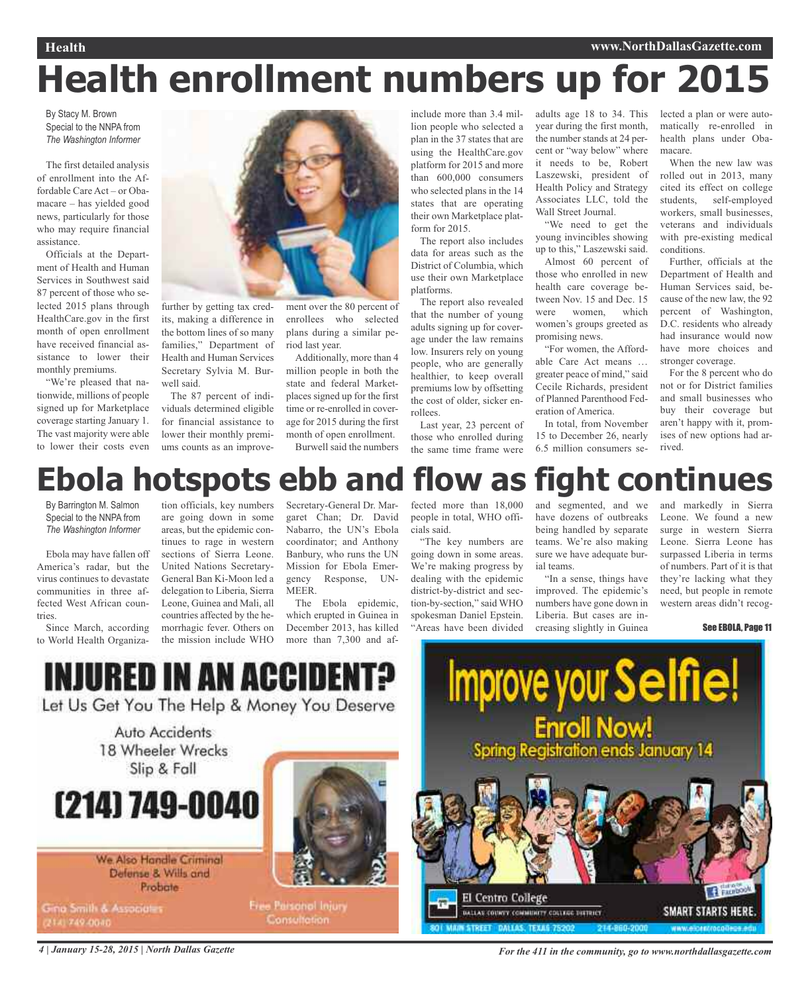### **Health www.NorthDallasGazette.com**

# **Health enrollment numbers up for 2015**

By Stacy M. Brown Special to the NNPA from *The Washington Informer*

The first detailed analysis of enrollment into the Affordable Care Act – or Obamacare – has yielded good news, particularly for those who may require financial assistance.

Officials at the Department of Health and Human Services in Southwest said 87 percent of those who selected 2015 plans through HealthCare.gov in the first month of open enrollment have received financial assistance to lower their monthly premiums.

"We're pleased that nationwide, millions of people signed up for Marketplace coverage starting January 1. The vast majority were able to lower their costs even



further by getting tax credits, making a difference in the bottom lines of so many families," Department of Health and Human Services Secretary Sylvia M. Burwell said.

The 87 percent of individuals determined eligible for financial assistance to lower their monthly premiums counts as an improve-

ment over the 80 percent of enrollees who selected plans during a similar period last year.

Additionally, more than 4 million people in both the state and federal Marketplaces signed up for the first time or re-enrolled in coverage for 2015 during the first month of open enrollment. Burwell said the numbers include more than 3.4 million people who selected a plan in the 37 states that are using the HealthCare.gov platform for 2015 and more than 600,000 consumers who selected plans in the 14 states that are operating their own Marketplace platform for 2015.

The report also includes data for areas such as the District of Columbia, which use their own Marketplace platforms.

The report also revealed that the number of young adults signing up for coverage under the law remains low. Insurers rely on young people, who are generally healthier, to keep overall premiums low by offsetting the cost of older, sicker enrollees.

Last year, 23 percent of those who enrolled during the same time frame were adults age 18 to 34. This year during the first month, the number stands at 24 percent or "way below" where it needs to be, Robert Laszewski, president of Health Policy and Strategy Associates LLC, told the Wall Street Journal.

"We need to get the young invincibles showing up to this," Laszewski said.

Almost 60 percent of those who enrolled in new health care coverage between Nov. 15 and Dec. 15 were women, which women's groups greeted as promising news.

"For women, the Affordable Care Act means … greater peace of mind," said Cecile Richards, president of Planned Parenthood Federation of America.

In total, from November 15 to December 26, nearly 6.5 million consumers selected a plan or were automatically re-enrolled in health plans under Obamacare.

When the new law was rolled out in 2013, many cited its effect on college students, self-employed workers, small businesses, veterans and individuals with pre-existing medical conditions.

Further, officials at the Department of Health and Human Services said, because of the new law, the 92 percent of Washington, D.C. residents who already had insurance would now have more choices and stronger coverage.

For the 8 percent who do not or for District families and small businesses who buy their coverage but aren't happy with it, promises of new options had arrived.

### **Ebola hotspots ebb and flow as fight continues**

By Barrington M. Salmon Special to the NNPA from *The Washington Informer*

Ebola may have fallen off America's radar, but the virus continues to devastate communities in three affected West African countries.

Since March, according to World Health Organiza-

tion officials, key numbers are going down in some areas, but the epidemic continues to rage in western sections of Sierra Leone. United Nations Secretary-General Ban Ki-Moon led a delegation to Liberia, Sierra Leone, Guinea and Mali, all countries affected by the hemorrhagic fever. Others on the mission include WHO

Secretary-General Dr. Margaret Chan; Dr. David Nabarro, the UN's Ebola coordinator; and Anthony Banbury, who runs the UN Mission for Ebola Emergency Response, UN-MEER.

The Ebola epidemic, which erupted in Guinea in December 2013, has killed more than 7,300 and af-

fected more than 18,000 people in total, WHO officials said.

"The key numbers are going down in some areas. We're making progress by dealing with the epidemic district-by-district and section-by-section," said WHO spokesman Daniel Epstein. "Areas have been divided

and segmented, and we have dozens of outbreaks being handled by separate teams. We're also making sure we have adequate burial teams.

"In a sense, things have improved. The epidemic's numbers have gone down in Liberia. But cases are increasing slightly in Guinea

and markedly in Sierra Leone. We found a new surge in western Sierra Leone. Sierra Leone has surpassed Liberia in terms of numbers. Part of it is that they're lacking what they need, but people in remote western areas didn't recog-

See EBOLA, Page 11

**INJURED IN AN ACCIDENT?** Let Us Get You The Help & Money You Deserve

Auto Accidents 18 Wheeler Wrecks

Slip & Fall

# (214) 749-0040

We Also Handle Criminal Defense & Wills and Probate

Gina Smith & Associates 2141749-0040



**Free Paisonol Injury** Consultation



4 January 15-28, 2015 | North Dallas Gazette State State of Two For the 411 in the community, go to www.northdallasgazette.com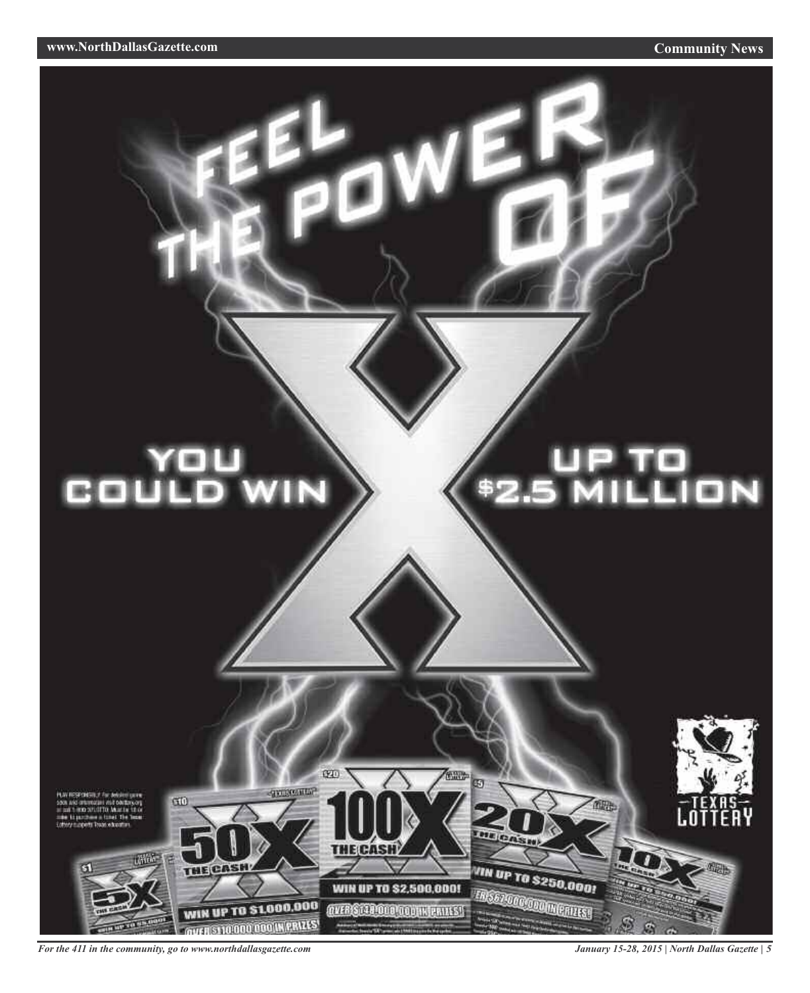**www.NorthDallasGazette.com**

**Community News**

# **COULD**

# P.TO<br>41LLION



*For the 411 in the community, go to www.northdallasgazette.com*

*January 15-28, 2015 | North Dallas Gazette | 5*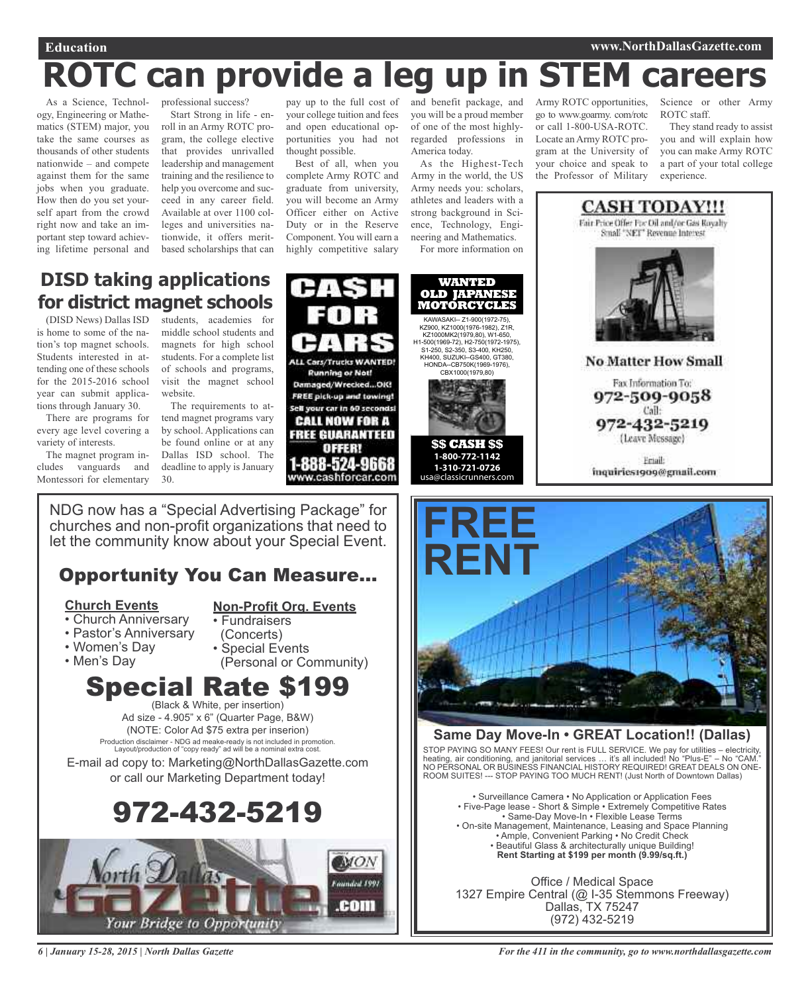## **ROTC can provide a leg up in STEM careers**

As a Science, Technology, Engineering or Mathematics (STEM) major, you take the same courses as thousands of other students nationwide – and compete against them for the same jobs when you graduate. How then do you set yourself apart from the crowd right now and take an important step toward achieving lifetime personal and

professional success? Start Strong in life - enroll in an Army ROTC program, the college elective that provides unrivalled leadership and management training and the resilience to help you overcome and succeed in any career field. Available at over 1100 colleges and universities nationwide, it offers meritbased scholarships that can

pay up to the full cost of your college tuition and fees and open educational opportunities you had not thought possible.

Best of all, when you complete Army ROTC and graduate from university, you will become an Army Officer either on Active Duty or in the Reserve Component. You will earn a highly competitive salary

and benefit package, and you will be a proud member of one of the most highlyregarded professions in America today.

As the Highest-Tech Army in the world, the US Army needs you: scholars, athletes and leaders with a strong background in Science, Technology, Engineering and Mathematics. For more information on

**WANTED OLD JAPANESI MOTORCYCLES**  Army ROTC opportunities, go to www.goarmy. com/rotc or call 1-800-USA-ROTC. Locate an Army ROTC program at the University of your choice and speak to the Professor of Military

Science or other Army ROTC staff.

They stand ready to assist you and will explain how you can make Army ROTC a part of your total college experience.



### (DISD News) Dallas ISD **DISD taking applications for district magnet schools**

is home to some of the nation's top magnet schools. Students interested in attending one of these schools for the 2015-2016 school year can submit applications through January 30.

There are programs for every age level covering a variety of interests.

The magnet program includes vanguards and Montessori for elementary

students, academies for middle school students and magnets for high school students. For a complete list of schools and programs, visit the magnet school website.

The requirements to attend magnet programs vary by school. Applications can be found online or at any Dallas ISD school. The deadline to apply is January 30.

NDG now has a "Special Advertising Package" for



KAWASAKI-- Z1-900(1972-75), KZ900, KZ1000(1976-1982), Z1R, KZ1000MK2(1979,80), W1-650, H1-500(1969-72), H2-750(1972-1975), S1-250, S2-350, S3-400, KH250, KH400, SUZUKI--GS400, GT380, HONDA--CB750K(1969-1976), CBX1000(1979,80)

**\$\$ CASH \$\$ 1-800-772-1142 1-310-721-0726**  usa@classicrunners.com

### **FREE RENT** churches and non-profit organizations that need to let the community know about your Special Event. Opportunity You Can Measure...

• Pastor's Anniversary • Women's Day

**Church Events** • Church Anniversary

- Men's Day
- Special Events (Personal or Community)

### **Special Rate \$1** (Black & White, per insertion)

Ad size - 4.905" x 6" (Quarter Page, B&W) (NOTE: Color Ad \$75 extra per inserion) Production disclaimer - NDG ad meake-ready is not included in promotion. Layout/production of "copy ready" ad will be a nominal extra cost.

E-mail ad copy to: Marketing@NorthDallasGazette.com or call our Marketing Department today!





*6 | January 15-28, 2015 | North Dallas Gazette*

### **Non-Profit Org. Events**

- Fundraisers (Concerts)
- 



**Same Day Move-In • GREAT Location!! (Dallas)** STOP PAYING SO MANY FEES! Our rent is FULL SERVICE. We pay for utilities – electricity, heating, air conditioning, and janitorial services … it's all included! No "Plus-E" – No "CAM." NO PERSONAL OR BUSINESS FINANCIAL HISTORY REQUIRED! GREAT DEALS ON ONE-ROOM SUITES! --- STOP PAYING TOO MUCH RENT! (Just North of Downtown Dallas)

• Surveillance Camera • No Application or Application Fees • Five-Page lease - Short & Simple • Extremely Competitive Rates • Same-Day Move-In • Flexible Lease Terms • On-site Management, Maintenance, Leasing and Space Planning • Ample, Convenient Parking • No Credit Check • Beautiful Glass & architecturally unique Building! **Rent Starting at \$199 per month (9.99/sq.ft.)**

Office / Medical Space 1327 Empire Central (@ I-35 Stemmons Freeway) Dallas, TX 75247 (972) 432-5219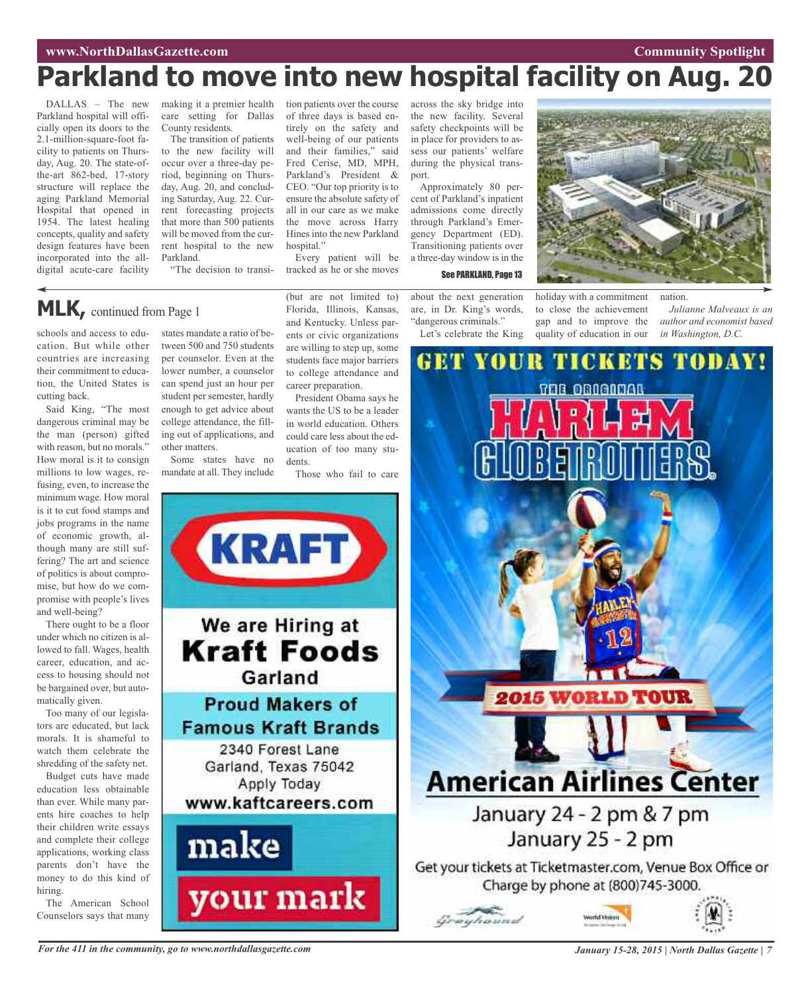### **Parkland to move into new hospital facility on Aug. 20**

DALLAS – The new Parkland hospital will officially open its doors to the 2.1-million-square-foot facility to patients on Thursday, Aug. 20. The state-ofthe-art 862-bed, 17-story structure will replace the aging Parkland Memorial Hospital that opened in 1954. The latest healing concepts, quality and safety design features have been incorporated into the alldigital acute-care facility

making it a premier health tion patients over the course care setting for Dallas County residents.

The transition of patients to the new facility will occur over a three-day period, beginning on Thursday, Aug. 20, and concluding Saturday, Aug. 22. Current forecasting projects that more than 500 patients will be moved from the current hospital to the new Parkland.

"The decision to transi-

**MLK,** continued from Page <sup>1</sup>

schools and access to education. But while other countries are increasing their commitment to education, the United States is cutting back.

Said King, "The most dangerous criminal may be the man (person) gifted with reason, but no morals." How moral is it to consign millions to low wages, refusing, even, to increase the minimum wage. How moral is it to cut food stamps and jobs programs in the name of economic growth, although many are still suffering? The art and science of politics is about compromise, but how do we compromise with people's lives and well-being?

There ought to be a floor under which no citizen is allowed to fall. Wages, health career, education, and access to housing should not be bargained over, but automatically given.

Too many of our legislators are educated, but lack morals. It is shameful to watch them celebrate the shredding of the safety net.

Budget cuts have made education less obtainable than ever. While many parents hire coaches to help their children write essays and complete their college applications, working class parents don't have the money to do this kind of hiring.

The American School Counselors says that many

states mandate a ratio of between 500 and 750 students per counselor. Even at the lower number, a counselor can spend just an hour per student per semester, hardly enough to get advice about college attendance, the filling out of applications, and other matters.

Some states have no mandate at all. They include

dents.

KRAFT

We are Hiring at

Garland

**Proud Makers of** 

2340 Forest Lane Garland, Texas 75042

Apply Today

make

(but are not limited to) Florida, Illinois, Kansas, and Kentucky. Unless parents or civic organizations ensure the absolute safety of all in our care as we make the move across Harry Hines into the new Parkland hospital." Every patient will be tracked as he or she moves

of three days is based entirely on the safety and well-being of our patients and their families," said Fred Cerise, MD, MPH, Parkland's President & CEO. "Our top priority is to

across the sky bridge into the new facility. Several safety checkpoints will be in place for providers to assess our patients' welfare during the physical transport.

Approximately 80 percent of Parkland's inpatient admissions come directly through Parkland's Emergency Department (ED). Transitioning patients over a three-day window is in the

See PARKLAND, Page 13

Let's celebrate the King

about the next generation are, in Dr. King's words, "dangerous criminals." holiday with a commitment to close the achievement

gap and to improve the quality of education in our

nation.

*Julianne Malveaux is an author and economist based in Washington, D.C.*

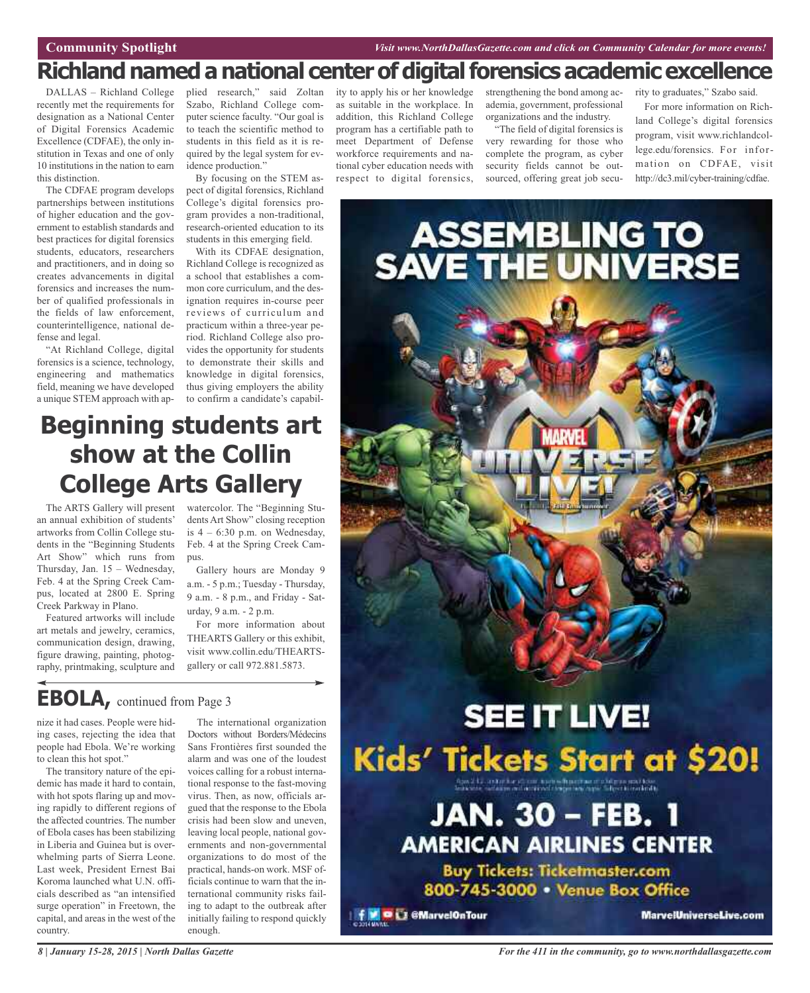### **Richland named a national center of digital forensics academic excellence**

DALLAS – Richland College recently met the requirements for designation as a National Center of Digital Forensics Academic Excellence (CDFAE), the only institution in Texas and one of only 10 institutions in the nation to earn this distinction.

The CDFAE program develops partnerships between institutions of higher education and the government to establish standards and best practices for digital forensics students, educators, researchers and practitioners, and in doing so creates advancements in digital forensics and increases the number of qualified professionals in the fields of law enforcement, counterintelligence, national defense and legal.

"At Richland College, digital forensics is a science, technology, engineering and mathematics field, meaning we have developed a unique STEM approach with ap-

plied research," said Zoltan Szabo, Richland College computer science faculty. "Our goal is to teach the scientific method to students in this field as it is required by the legal system for evidence production."

By focusing on the STEM aspect of digital forensics, Richland College's digital forensics program provides a non-traditional, research-oriented education to its students in this emerging field.

With its CDFAE designation, Richland College is recognized as a school that establishes a common core curriculum, and the designation requires in-course peer reviews of curriculum and practicum within a three-year period. Richland College also provides the opportunity for students to demonstrate their skills and knowledge in digital forensics, thus giving employers the ability to confirm a candidate's capabil-

**Beginning students art show at the Collin College Arts Gallery**

The ARTS Gallery will present an annual exhibition of students' artworks from Collin College students in the "Beginning Students Art Show" which runs from Thursday, Jan. 15 – Wednesday, Feb. 4 at the Spring Creek Campus, located at 2800 E. Spring Creek Parkway in Plano.

Featured artworks will include art metals and jewelry, ceramics, communication design, drawing, figure drawing, painting, photography, printmaking, sculpture and

watercolor. The "Beginning Students Art Show" closing reception is  $4 - 6:30$  p.m. on Wednesday, Feb. 4 at the Spring Creek Campus.

Gallery hours are Monday 9 a.m. - 5 p.m.; Tuesday - Thursday, 9 a.m. - 8 p.m., and Friday - Saturday, 9 a.m. - 2 p.m.

For more information about THEARTS Gallery or this exhibit, visit www.collin.edu/THEARTSgallery or call 972.881.5873.

### **EBOLA,** continued from Page <sup>3</sup>

nize it had cases. People were hiding cases, rejecting the idea that people had Ebola. We're working to clean this hot spot."

The transitory nature of the epidemic has made it hard to contain, with hot spots flaring up and moving rapidly to different regions of the affected countries. The number of Ebola cases has been stabilizing in Liberia and Guinea but is overwhelming parts of Sierra Leone. Last week, President Ernest Bai Koroma launched what U.N. officials described as "an intensified surge operation" in Freetown, the capital, and areas in the west of the country.

The international organization Doctors without Borders/Médecins Sans Frontières first sounded the alarm and was one of the loudest voices calling for a robust international response to the fast-moving virus. Then, as now, officials argued that the response to the Ebola crisis had been slow and uneven, leaving local people, national governments and non-governmental organizations to do most of the practical, hands-on work. MSF officials continue to warn that the international community risks failing to adapt to the outbreak after initially failing to respond quickly enough.

ity to apply his or her knowledge as suitable in the workplace. In addition, this Richland College program has a certifiable path to meet Department of Defense workforce requirements and national cyber education needs with respect to digital forensics,

strengthening the bond among academia, government, professional organizations and the industry.

"The field of digital forensics is very rewarding for those who complete the program, as cyber security fields cannot be outsourced, offering great job security to graduates," Szabo said.

For more information on Richland College's digital forensics program, visit www.richlandcollege.edu/forensics. For information on CDFAE, visit http://dc3.mil/cyber-training/cdfae.

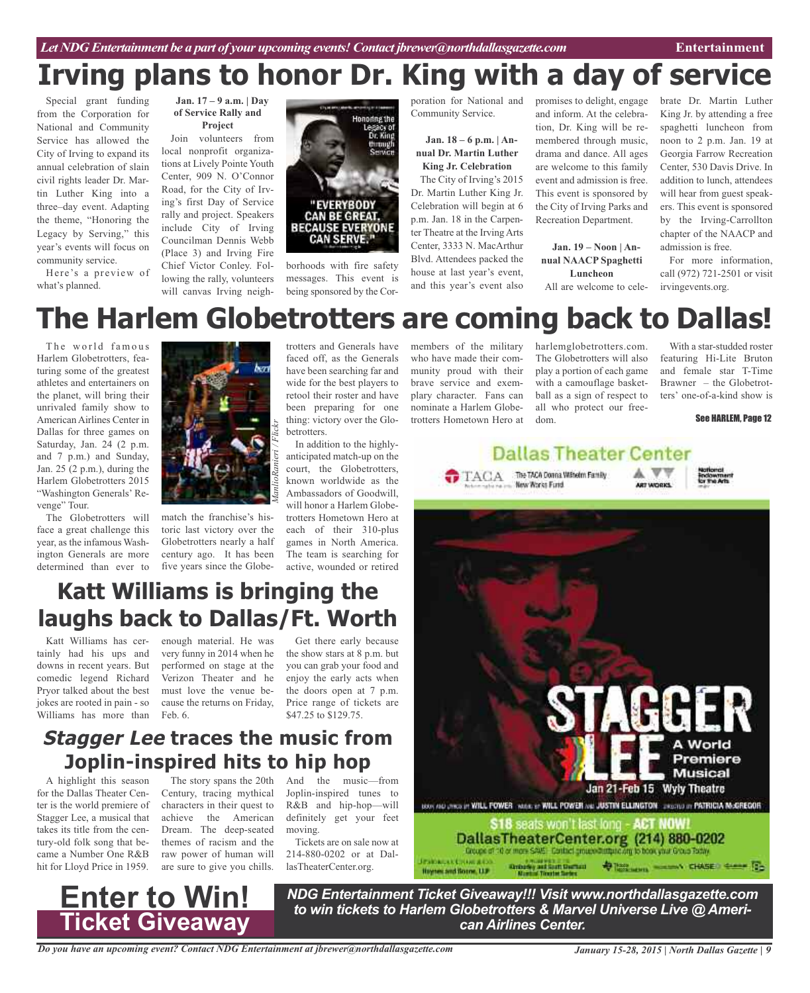## **Irving plans to honor Dr. King with a day of service**

Special grant funding from the Corporation for National and Community Service has allowed the City of Irving to expand its annual celebration of slain civil rights leader Dr. Martin Luther King into a three–day event. Adapting the theme, "Honoring the Legacy by Serving," this year's events will focus on community service.

Here's a preview of what's planned.

**Jan. 17 – 9 a.m. | Day of Service Rally and Project**

Join volunteers from local nonprofit organizations at Lively Pointe Youth Center, 909 N. O'Connor Road, for the City of Irving's first Day of Service rally and project. Speakers include City of Irving Councilman Dennis Webb (Place 3) and Irving Fire Chief Victor Conley. Following the rally, volunteers will canvas Irving neigh-



borhoods with fire safety messages. This event is being sponsored by the Cor-

poration for National and Community Service.

> **Jan. 18 – 6 p.m. | Annual Dr. Martin Luther King Jr. Celebration** The City of Irving's 2015

Dr. Martin Luther King Jr. Celebration will begin at 6 p.m. Jan. 18 in the Carpenter Theatre at the Irving Arts Center, 3333 N. MacArthur Blvd. Attendees packed the house at last year's event, and this year's event also promises to delight, engage and inform. At the celebration, Dr. King will be remembered through music, drama and dance. All ages are welcome to this family event and admission is free. This event is sponsored by the City of Irving Parks and Recreation Department.

**Jan. 19 – Noon | Annual NAACP Spaghetti Luncheon**

All are welcome to cele-

brate Dr. Martin Luther King Jr. by attending a free spaghetti luncheon from noon to 2 p.m. Jan. 19 at Georgia Farrow Recreation Center, 530 Davis Drive. In addition to lunch, attendees will hear from guest speakers. This event is sponsored by the Irving-Carrollton chapter of the NAACP and admission is free.

For more information, call (972) 721-2501 or visit irvingevents.org.

### **The Harlem Globetrotters are coming back to Dallas!**

The world famous Harlem Globetrotters, featuring some of the greatest athletes and entertainers on the planet, will bring their unrivaled family show to American Airlines Center in Dallas for three games on Saturday, Jan. 24 (2 p.m. and 7 p.m.) and Sunday, Jan. 25 (2 p.m.), during the Harlem Globetrotters 2015 "Washington Generals' Revenge" Tour.

The Globetrotters will face a great challenge this year, as the infamous Washington Generals are more determined than ever to



match the franchise's historic last victory over the Globetrotters nearly a half century ago. It has been five years since the Globetrotters and Generals have faced off, as the Generals have been searching far and wide for the best players to retool their roster and have been preparing for one thing: victory over the Globetrotters.

In addition to the highlyanticipated match-up on the court, the Globetrotters, known worldwide as the Ambassadors of Goodwill, will honor a Harlem Globetrotters Hometown Hero at each of their 310-plus games in North America. The team is searching for active, wounded or retired members of the military who have made their community proud with their brave service and exemplary character. Fans can nominate a Harlem Globetrotters Hometown Hero at

harlemglobetrotters.com. The Globetrotters will also play a portion of each game with a camouflage basketball as a sign of respect to all who protect our freedom.

With a star-studded roster featuring Hi-Lite Bruton and female star T-Time Brawner – the Globetrotters' one-of-a-kind show is

### See HARLEM, Page 12

### **Dallas Theater Center** TACA The TACA Donna Wilhelm Family A VV New Works Furid **ART WIDDES**



Katt Williams has certainly had his ups and downs in recent years. But comedic legend Richard Pryor talked about the best jokes are rooted in pain - so Williams has more than enough material. He was very funny in 2014 when he performed on stage at the Verizon Theater and he must love the venue because the returns on Friday, Feb. 6.

Get there early because the show stars at 8 p.m. but you can grab your food and enjoy the early acts when the doors open at 7 p.m. Price range of tickets are \$47.25 to \$129.75.

### **Stagger Lee traces the music from Joplin-inspired hits to hip hop**

A highlight this season for the Dallas Theater Center is the world premiere of Stagger Lee, a musical that takes its title from the century-old folk song that became a Number One R&B hit for Lloyd Price in 1959.

**Enter to Win!**

**Ticket Giveaway**

The story spans the 20th Century, tracing mythical characters in their quest to achieve the American Dream. The deep-seated themes of racism and the raw power of human will are sure to give you chills.

And the music—from Joplin-inspired tunes to R&B and hip-hop—will definitely get your feet moving.

Tickets are on sale now at 214-880-0202 or at DallasTheaterCenter.org.



*NDG Entertainment Ticket Giveaway!!! Visit www.northdallasgazette.com to win tickets to Harlem Globetrotters & Marvel Universe Live @ American Airlines Center.*

*Do you have an upcoming event? Contact NDG Entertainment at jbrewer@northdallasgazette.com*

*January 15-28, 2015 | North Dallas Gazette | 9*

A World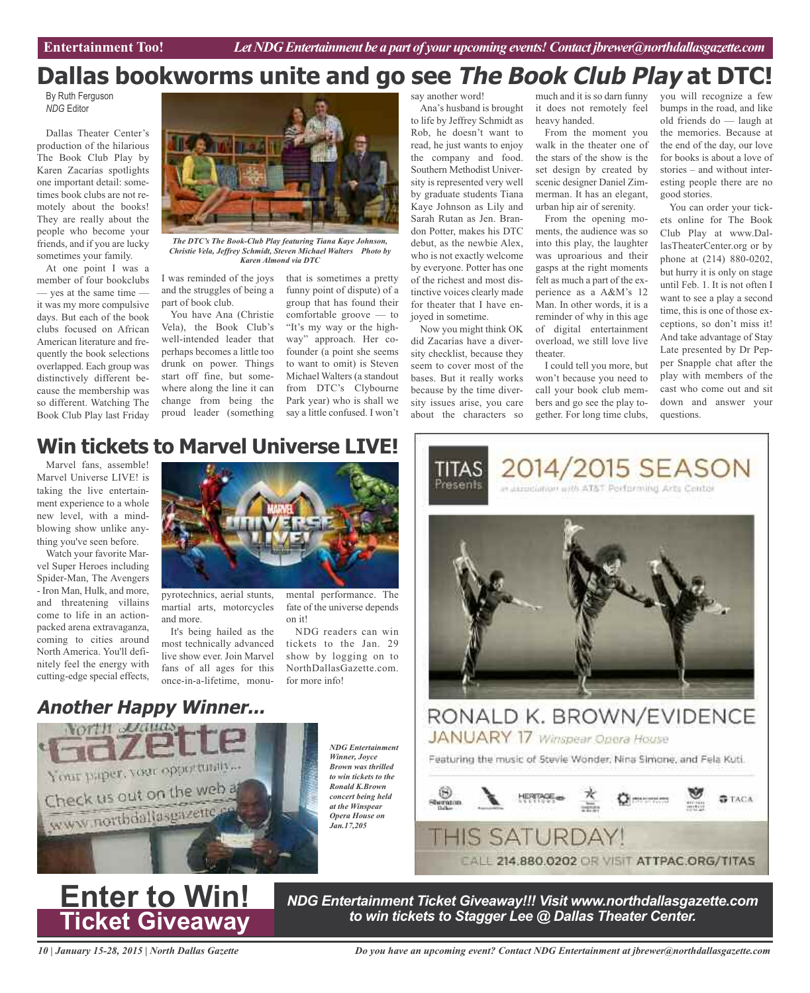### **Dallas bookworms unite and go see The Book Club Play at DTC!**

By Ruth Ferguson *NDG* Editor

Dallas Theater Center's production of the hilarious The Book Club Play by Karen Zacarías spotlights one important detail: sometimes book clubs are not remotely about the books! They are really about the people who become your friends, and if you are lucky sometimes your family.

At one point I was a member of four bookclubs — yes at the same time it was my more compulsive days. But each of the book clubs focused on African American literature and frequently the book selections overlapped. Each group was distinctively different because the membership was so different. Watching The Book Club Play last Friday



*Christie Vela, Jeffrey Schmidt, Steven Michael Walters Photo by Karen Almond via DTC*

I was reminded of the joys and the struggles of being a part of book club.

You have Ana (Christie Vela), the Book Club's well-intended leader that perhaps becomes a little too drunk on power. Things start off fine, but somewhere along the line it can change from being the proud leader (something

that is sometimes a pretty funny point of dispute) of a group that has found their comfortable groove — to "It's my way or the highway" approach. Her cofounder (a point she seems to want to omit) is Steven Michael Walters (a standout from DTC's Clybourne Park year) who is shall we say a little confused. I won't

say another word!

Ana's husband is brought to life by Jeffrey Schmidt as Rob, he doesn't want to read, he just wants to enjoy the company and food. Southern Methodist University is represented very well by graduate students Tiana Kaye Johnson as Lily and Sarah Rutan as Jen. Brandon Potter, makes his DTC debut, as the newbie Alex, who is not exactly welcome by everyone. Potter has one of the richest and most distinctive voices clearly made for theater that I have enjoyed in sometime.

Now you might think OK did Zacarías have a diversity checklist, because they seem to cover most of the bases. But it really works because by the time diversity issues arise, you care about the characters so

much and it is so darn funny it does not remotely feel heavy handed.

From the moment you walk in the theater one of the stars of the show is the set design by created by scenic designer Daniel Zimmerman. It has an elegant, urban hip air of serenity.

From the opening moments, the audience was so into this play, the laughter was uproarious and their gasps at the right moments felt as much a part of the experience as a A&M's 12 Man. In other words, it is a reminder of why in this age of digital entertainment overload, we still love live theater.

I could tell you more, but won't because you need to call your book club members and go see the play together. For long time clubs,

you will recognize a few bumps in the road, and like old friends do — laugh at the memories. Because at the end of the day, our love for books is about a love of stories – and without interesting people there are no good stories.

You can order your tickets online for The Book Club Play at www.DallasTheaterCenter.org or by phone at (214) 880-0202, but hurry it is only on stage until Feb. 1. It is not often I want to see a play a second time, this is one of those exceptions, so don't miss it! And take advantage of Stay Late presented by Dr Pepper Snapple chat after the play with members of the cast who come out and sit down and answer your questions.

### **Win tickets to Marvel Universe LIVE!**

Marvel fans, assemble! Marvel Universe LIVE! is taking the live entertainment experience to a whole new level, with a mindblowing show unlike anything you've seen before.

Watch your favorite Marvel Super Heroes including Spider-Man, The Avengers - Iron Man, Hulk, and more, and threatening villains come to life in an actionpacked arena extravaganza, coming to cities around North America. You'll definitely feel the energy with cutting-edge special effects,



pyrotechnics, aerial stunts, martial arts, motorcycles and more.

It's being hailed as the most technically advanced live show ever. Join Marvel fans of all ages for this once-in-a-lifetime, monu-

mental performance. The fate of the universe depends on it!

NDG readers can win tickets to the Jan. 29 show by logging on to NorthDallasGazette.com. for more info!

### **Another Happy Winner...**



*NDG Entertainment Winner, Joyce Brown was thrilled to win tickets to the Ronald K.Brown concert being held at the Winspear Opera House on Jan.17,205*





RONALD K. BROWN/EVIDENCE **JANUARY 17 Winspear Opera House** 

Featuring the music of Stevie Wonder, Nina Simone, and Fela Kuti.





*NDG Entertainment Ticket Giveaway!!! Visit www.northdallasgazette.com*

*10 | January 15-28, 2015 | North Dallas Gazette*

*Do you have an upcoming event? Contact NDG Entertainment at jbrewer@northdallasgazette.com*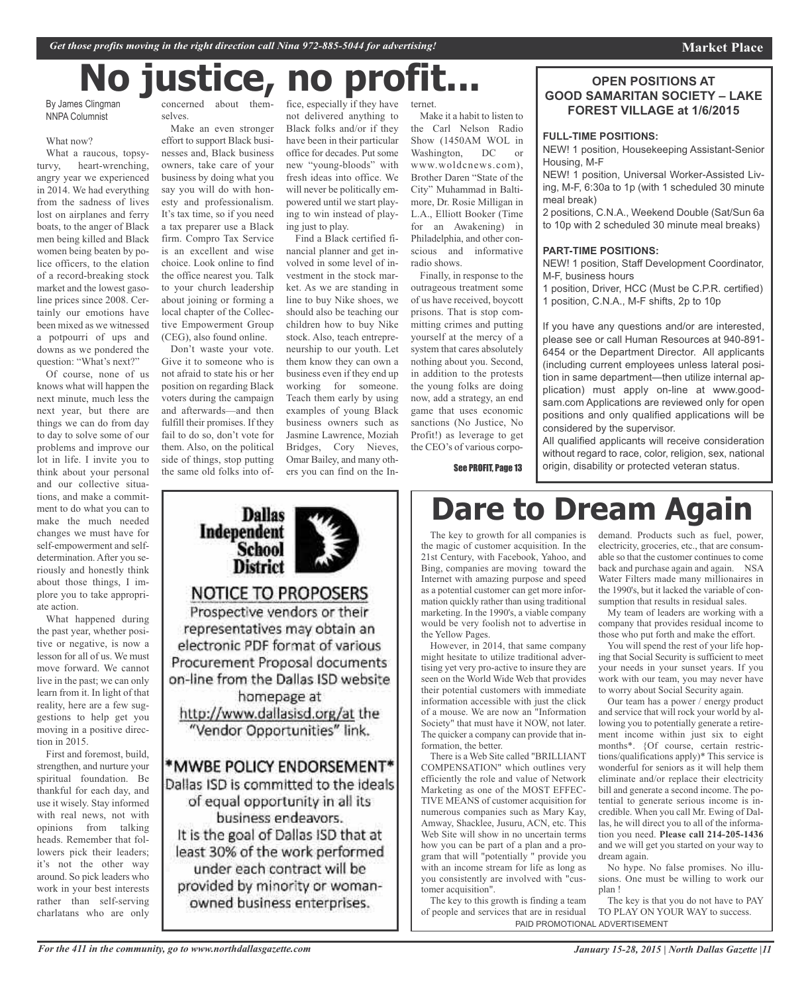### concerned about themternet. **No** justice, no prof

By James Clingman NNPA Columnist

#### What now?

What a raucous, topsyturvy, heart-wrenching, angry year we experienced in 2014. We had everything from the sadness of lives lost on airplanes and ferry boats, to the anger of Black men being killed and Black women being beaten by police officers, to the elation of a record-breaking stock market and the lowest gasoline prices since 2008. Certainly our emotions have been mixed as we witnessed a potpourri of ups and downs as we pondered the question: "What's next?"

Of course, none of us knows what will happen the next minute, much less the next year, but there are things we can do from day to day to solve some of our problems and improve our lot in life. I invite you to think about your personal and our collective situations, and make a commitment to do what you can to make the much needed changes we must have for self-empowerment and selfdetermination. After you seriously and honestly think about those things, I implore you to take appropriate action.

What happened during the past year, whether positive or negative, is now a lesson for all of us. We must move forward. We cannot live in the past; we can only learn from it. In light of that reality, here are a few suggestions to help get you moving in a positive direction in 2015.

First and foremost, build, strengthen, and nurture your spiritual foundation. Be thankful for each day, and use it wisely. Stay informed with real news, not with opinions from talking heads. Remember that followers pick their leaders; it's not the other way around. So pick leaders who work in your best interests rather than self-serving charlatans who are only

selves.

Make an even stronger effort to support Black businesses and, Black business owners, take care of your business by doing what you say you will do with honesty and professionalism. It's tax time, so if you need a tax preparer use a Black firm. Compro Tax Service is an excellent and wise choice. Look online to find the office nearest you. Talk to your church leadership about joining or forming a local chapter of the Collective Empowerment Group (CEG), also found online.

Don't waste your vote. Give it to someone who is not afraid to state his or her position on regarding Black voters during the campaign and afterwards—and then fulfill their promises. If they fail to do so, don't vote for them. Also, on the political side of things, stop putting the same old folks into of-

**Dallas** 

**School District** 

**NOTICE TO PROPOSERS** Prospective vendors or their representatives may obtain an electronic PDF format of various Procurement Proposal documents on-line from the Dallas ISD website homepage at http://www.dallasisd.org/at the "Vendor Opportunities" link.

\*MWBE POLICY ENDORSEMENT\* Dallas ISD is committed to the ideals of equal opportunity in all its business endeavors. It is the goal of Dallas ISD that at least 30% of the work performed under each contract will be provided by minority or womanowned business enterprises.

Independent

fice, especially if they have not delivered anything to Black folks and/or if they have been in their particular office for decades. Put some new "young-bloods" with fresh ideas into office. We will never be politically empowered until we start playing to win instead of playing just to play.

Find a Black certified financial planner and get involved in some level of investment in the stock market. As we are standing in line to buy Nike shoes, we should also be teaching our children how to buy Nike stock. Also, teach entrepreneurship to our youth. Let them know they can own a business even if they end up working for someone. Teach them early by using examples of young Black business owners such as Jasmine Lawrence, Moziah Bridges, Cory Nieves, Omar Bailey, and many others you can find on the In-

Make it a habit to listen to the Carl Nelson Radio Show (1450AM WOL in Washington, DC or www.woldcnews.com), Brother Daren "State of the City" Muhammad in Baltimore, Dr. Rosie Milligan in L.A., Elliott Booker (Time for an Awakening) in Philadelphia, and other conscious and informative radio shows.

Finally, in response to the outrageous treatment some of us have received, boycott prisons. That is stop committing crimes and putting yourself at the mercy of a system that cares absolutely nothing about you. Second, in addition to the protests the young folks are doing now, add a strategy, an end game that uses economic sanctions (No Justice, No Profit!) as leverage to get the CEO's of various corpo-

### **OPEN POSITIONS AT GOOD SAMARITAN SOCIETY – LAKE FOREST VILLAGE at 1/6/2015**

#### **FULL-TIME POSITIONS:**

NEW! 1 position, Housekeeping Assistant-Senior Housing, M-F

NEW! 1 position, Universal Worker-Assisted Living, M-F, 6:30a to 1p (with 1 scheduled 30 minute meal break)

2 positions, C.N.A., Weekend Double (Sat/Sun 6a to 10p with 2 scheduled 30 minute meal breaks)

#### **PART-TIME POSITIONS:**

NEW! 1 position, Staff Development Coordinator, M-F, business hours

1 position, Driver, HCC (Must be C.P.R. certified) 1 position, C.N.A., M-F shifts, 2p to 10p

If you have any questions and/or are interested, please see or call Human Resources at 940-891- 6454 or the Department Director. All applicants (including current employees unless lateral position in same department—then utilize internal application) must apply on-line at www.goodsam.com Applications are reviewed only for open positions and only qualified applications will be considered by the supervisor.

All qualified applicants will receive consideration without regard to race, color, religion, sex, national origin, disability or protected veteran status.

See PROFIT, Page 13

### **Dare to Dream Again**

The key to growth for all companies is the magic of customer acquisition. In the 21st Century, with Facebook, Yahoo, and Bing, companies are moving toward the Internet with amazing purpose and speed as a potential customer can get more information quickly rather than using traditional marketing. In the 1990's, a viable company would be very foolish not to advertise in the Yellow Pages.

However, in 2014, that same company might hesitate to utilize traditional advertising yet very pro-active to insure they are seen on the World Wide Web that provides their potential customers with immediate information accessible with just the click of a mouse. We are now an "Information Society" that must have it NOW, not later. The quicker a company can provide that information, the better.

There is a Web Site called "BRILLIANT COMPENSATION" which outlines very efficiently the role and value of Network Marketing as one of the MOST EFFEC-TIVE MEANS of customer acquisition for numerous companies such as Mary Kay, Amway, Shacklee, Jusuru, ACN, etc. This Web Site will show in no uncertain terms how you can be part of a plan and a program that will "potentially " provide you with an income stream for life as long as you consistently are involved with "customer acquisition".

The key to this growth is finding a team of people and services that are in residual PAID PROMOTIONAL ADVERTISEMENT

demand. Products such as fuel, power, electricity, groceries, etc., that are consumable so that the customer continues to come back and purchase again and again. NSA Water Filters made many millionaires in the 1990's, but it lacked the variable of consumption that results in residual sales.

My team of leaders are working with a company that provides residual income to those who put forth and make the effort.

You will spend the rest of your life hoping that Social Security is sufficient to meet your needs in your sunset years. If you work with our team, you may never have to worry about Social Security again.

Our team has a power / energy product and service that will rock your world by allowing you to potentially generate a retirement income within just six to eight months\*. {Of course, certain restrictions/qualifications apply)\* This service is wonderful for seniors as it will help them eliminate and/or replace their electricity bill and generate a second income. The potential to generate serious income is incredible. When you call Mr. Ewing of Dallas, he will direct you to all of the information you need. **Please call 214-205-1436** and we will get you started on your way to dream again.

No hype. No false promises. No illusions. One must be willing to work our plan !

The key is that you do not have to PAY TO PLAY ON YOUR WAY to success.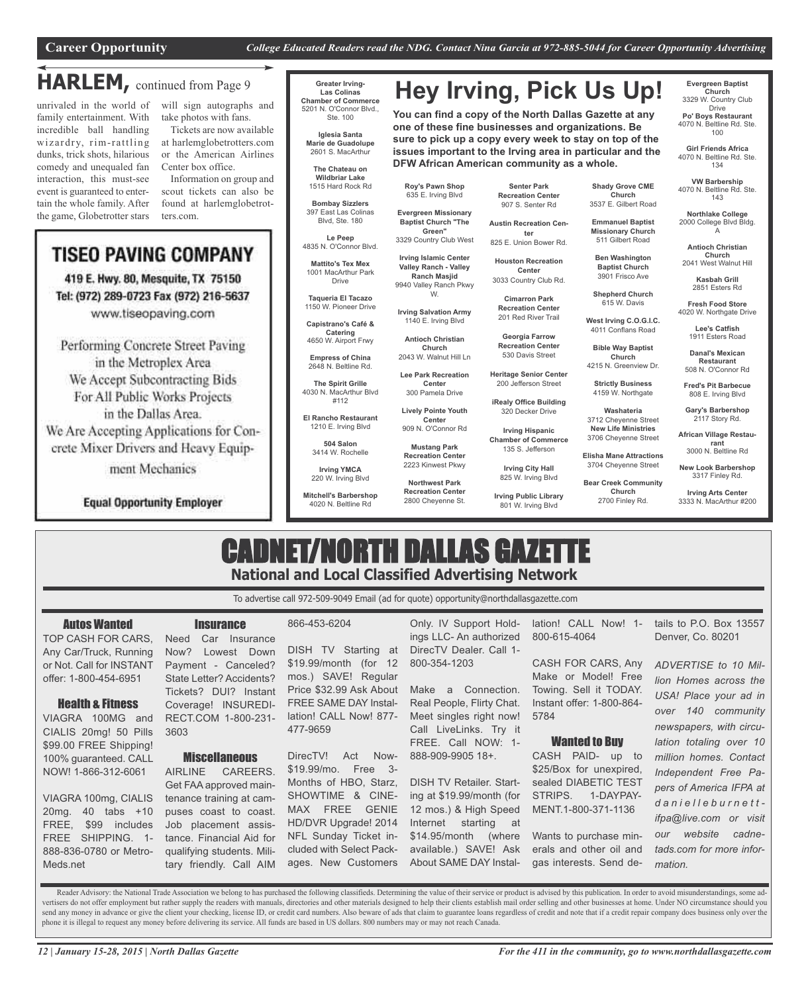**DFW African American community as a whole.**

### **HARLEM,** continued from Page <sup>9</sup>

unrivaled in the world of family entertainment. With incredible ball handling wizardry, rim-rattling dunks, trick shots, hilarious comedy and unequaled fan interaction, this must-see event is guaranteed to entertain the whole family. After the game, Globetrotter stars

will sign autographs and take photos with fans.

Tickets are now available at harlemglobetrotters.com or the American Airlines Center box office.

Information on group and scout tickets can also be found at harlemglobetrotters.com.

### **TISEO PAVING COMPANY**

419 E. Hwy. 80, Mesquite, TX 75150 Tel: (972) 289-0723 Fax (972) 216-5637 www.tiseopaving.com

Performing Concrete Street Paving in the Metroplex Area We Accept Subcontracting Bids For All Public Works Projects in the Dallas Area.

We Are Accepting Applications for Concrete Mixer Drivers and Heavy Equip-

ment Mechanics

**Equal Opportunity Employer** 

#### **Greater Irving-Las Colinas Chamber of Commerce** 5201 N. O'Connor Blvd., Ste. 100

**Iglesia Santa Marie de Guadolupe** 2601 S. MacArthur

**The Chateau on Wildbriar Lake** 1515 Hard Rock Rd

**Bombay Sizzlers** 397 East Las Colinas Blvd, Ste. 180

**Le Peep** 4835 N. O'Connor Blvd.

**Mattito's Tex Mex** 1001 MacArthur Park

Drive **Taqueria El Tacazo** 1150 W. Pioneer Drive

**Capistrano's Café & Catering**

4650 W. Airport Frwy **Empress of China**

2648 N. Beltline Rd. **The Spirit Grille** 4030 N. MacArthur Blvd

#112 **El Rancho Restaurant**

> 1210 E. Irving Blvd **504 Salon** 3414 W. Rochelle

**Irving YMCA** 220 W. Irving Blvd

**Mitchell's Barbershop** 4020 N. Beltline Rd

**Senter Park Recreation Center** 907 S. Senter Rd

**Hey Irving, Pick Us Up!**

**You can find a copy of the North Dallas Gazette at any one of these fine businesses and organizations. Be sure to pick up a copy every week to stay on top of the issues important to the Irving area in particular and the**

> **Austin Recreation Center** 825 E. Union Bower Rd.

**Houston Recreation Center** 3033 Country Club Rd.

> **Cimarron Park Recreation Center** 201 Red River Trail

**Georgia Farrow Recreation Center** 530 Davis Street

**Heritage Senior Center** 200 Jefferson Street

**iRealy Office Building** 320 Decker Drive

**Irving Hispanic Chamber of Commerce** 135 S. Jefferson

> **Irving City Hall** 825 W. Irving Blvd

**Irving Public Library** 801 W. Irving Blvd

**Evergreen Baptist Church** 3329 W. Country Club Drive

**Po' Boys Restaurant** 4070 N. Beltline Rd. Ste. 100

**Girl Friends Africa** 4070 N. Beltline Rd. Ste. 134

**VW Barbership** 4070 N. Beltline Rd. Ste. 143

**Shady Grove CME Church** 3537 E. Gilbert Road **Emmanuel Baptist Missionary Church** 511 Gilbert Road **Ben Washington Baptist Church** 3901 Frisco Ave **Shepherd Church** 615 W. Davis **West Irving C.O.G.I.C.** 4011 Conflans Road **Bible Way Baptist Church** 4215 N. Greenview Dr. **Strictly Business** 4159 W. Northgate **Washateria** 3712 Cheyenne Street **New Life Ministries** 3706 Cheyenne Street **Elisha Mane Attractions** 3704 Cheyenne Street **Bear Creek Community Church** 2700 Finley Rd.

**Northlake College** 2000 College Blvd Bldg. A

**Antioch Christian Church** 2041 West Walnut Hill

**Kasbah Grill** 2851 Esters Rd

**Fresh Food Store** 4020 W. Northgate Drive

**Lee's Catfish** 1911 Esters Road

**Danal's Mexican Restaurant** 508 N. O'Connor Rd

**Fred's Pit Barbecue** 808 E. Irving Blvd

**Gary's Barbershop** 2117 Story Rd.

**African Village Restaurant** 3000 N. Beltline Rd

**New Look Barbershop** 3317 Finley Rd.

**Irving Arts Center** 3333 N. MacArthur #200

### CADNET/NORTH DALLAS GAZETTE **National and Local Classified Advertising Network**

To advertise call 972-509-9049 Email (ad for quote) opportunity@northdallasgazette.com

### Autos Wanted

TOP CASH FOR CARS, Any Car/Truck, Running or Not. Call for INSTANT offer: 1-800-454-6951

#### Health & Fitness

VIAGRA 100MG and CIALIS 20mg! 50 Pills \$99.00 FREE Shipping! 100% guaranteed. CALL NOW! 1-866-312-6061

VIAGRA 100mg, CIALIS 20mg. 40 tabs +10 FREE, \$99 includes FREE SHIPPING. 1- 888-836-0780 or Metro-Meds.net

**Insurance** Need Car Insurance Now? Lowest Down Payment - Canceled? State Letter? Accidents? Tickets? DUI? Instant Coverage! INSUREDI-RECT.COM 1-800-231- 3603

#### **Miscellaneous**

AIRLINE CAREERS. Get FAA approved maintenance training at campuses coast to coast. Job placement assistance. Financial Aid for qualifying students. Military friendly. Call AIM

DISH TV Starting at \$19.99/month (for 12 mos.) SAVE! Regular Price \$32.99 Ask About FREE SAME DAY Installation! CALL Now! 877- 477-9659

866-453-6204

DirecTV! Act Now- \$19.99/mo. Free 3- Months of HBO, Starz, SHOWTIME & CINE-MAX FREE GENIE HD/DVR Upgrade! 2014 NFL Sunday Ticket included with Select Packages. New Customers

Only. IV Support Holdings LLC- An authorized DirecTV Dealer. Call 1- 800-354-1203

Make a Connection. Real People, Flirty Chat. Meet singles right now! Call LiveLinks. Try it FREE. Call NOW: 1- 888-909-9905 18+.

DISH TV Retailer. Starting at \$19.99/month (for 12 mos.) & High Speed Internet starting at \$14.95/month (where available.) SAVE! Ask About SAME DAY Installation! CALL Now! 1- 800-615-4064

CASH FOR CARS, Any Make or Model! Free Towing. Sell it TODAY. Instant offer: 1-800-864- 5784

### Wanted to Buy

CASH PAID- up to \$25/Box for unexpired, sealed DIABETIC TEST STRIPS. 1-DAYPAY-MENT.1-800-371-1136

Wants to purchase minerals and other oil and gas interests. Send details to P.O. Box 13557 Denver, Co. 80201

*ADVERTISE to 10 Million Homes across the USA! Place your ad in over 140 community newspapers, with circulation totaling over 10 million homes. Contact Independent Free Papers of America IFPA at d a n i e l l e b u r n e t t ifpa@live.com or visit our website cadnetads.com for more information.*

Reader Advisory: the National Trade Association we belong to has purchased the following classifieds. Determining the value of their service or product is advised by this publication. In order to avoid misunderstandings, s vertisers do not offer employment but rather supply the readers with manuals, directories and other materials designed to help their clients establish mail order selling and other businesses at home. Under NO circumstance send any money in advance or give the client your checking, license ID, or credit card numbers. Also beware of ads that claim to guarantee loans regardless of credit and note that if a credit repair company does business o phone it is illegal to request any money before delivering its service. All funds are based in US dollars. 800 numbers may or may not reach Canada.

**Northwest Park Recreation Center** 2800 Cheyenne St.

1140 E. Irving Blvd **Antioch Christian Church** 2043 W. Walnut Hill Ln **Lee Park Recreation**

**Center** 300 Pamela Drive

**Roy's Pawn Shop** 635 E. Irving Blvd **Evergreen Missionary Baptist Church "The Green"** 3329 Country Club West **Irving Islamic Center Valley Ranch - Valley Ranch Masjid** 9940 Valley Ranch Pkwy W. **Irving Salvation Army**

**Lively Pointe Youth Center** 909 N. O'Connor Rd

**Mustang Park Recreation Center**

2223 Kinwest Pkwy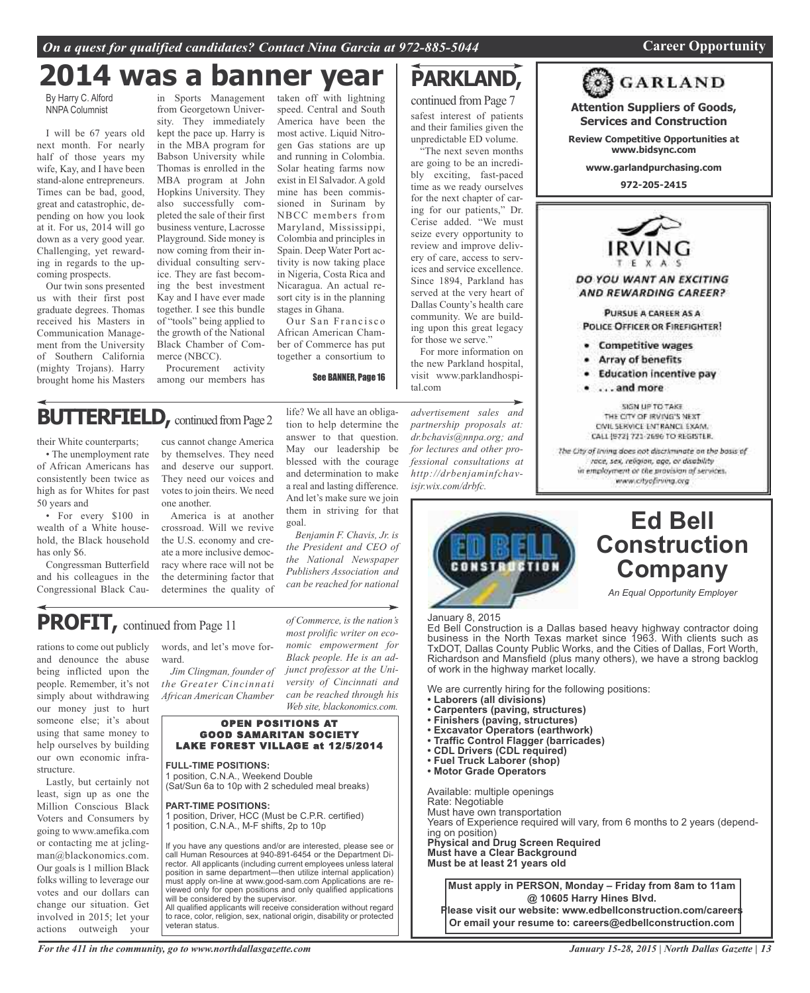### *On a quest for qualified candidates? Contact Nina Garcia at 972-885-5044* **Career Opportunity**

### **2014 was a banner year**

By Harry C. Alford NNPA Columnist

I will be 67 years old next month. For nearly half of those years my wife, Kay, and I have been stand-alone entrepreneurs. Times can be bad, good, great and catastrophic, depending on how you look at it. For us, 2014 will go down as a very good year. Challenging, yet rewarding in regards to the upcoming prospects.

Our twin sons presented us with their first post graduate degrees. Thomas received his Masters in Communication Management from the University of Southern California (mighty Trojans). Harry brought home his Masters

in Sports Management taken off with lightning from Georgetown University. They immediately kept the pace up. Harry is in the MBA program for Babson University while Thomas is enrolled in the MBA program at John Hopkins University. They also successfully completed the sale of their first business venture, Lacrosse Playground. Side money is now coming from their individual consulting service. They are fast becoming the best investment Kay and I have ever made together. I see this bundle of "tools" being applied to the growth of the National Black Chamber of Com-

Procurement activity among our members has

merce (NBCC).

### **BUTTERFIELD**, continued from Page 2

their White counterparts;

• The unemployment rate of African Americans has consistently been twice as high as for Whites for past 50 years and

• For every \$100 in wealth of a White household, the Black household has only \$6.

Congressman Butterfield and his colleagues in the Congressional Black Cau-

cus cannot change America by themselves. They need and deserve our support. They need our voices and votes to join theirs. We need one another.

America is at another crossroad. Will we revive the U.S. economy and create a more inclusive democracy where race will not be the determining factor that determines the quality of

life? We all have an obligation to help determine the answer to that question. May our leadership be blessed with the courage and determination to make a real and lasting difference. And let's make sure we join them in striving for that goal.

stages in Ghana.

Our San Francisco African American Chamber of Commerce has put together a consortium to

See BANNER, Page 16

speed. Central and South America have been the most active. Liquid Nitrogen Gas stations are up and running in Colombia. Solar heating farms now exist in El Salvador. A gold mine has been commissioned in Surinam by NBCC members from Maryland, Mississippi, Colombia and principles in Spain. Deep Water Port activity is now taking place in Nigeria, Costa Rica and Nicaragua. An actual resort city is in the planning

*Benjamin F. Chavis, Jr. is the President and CEO of the National Newspaper Publishers Association and can be reached for national*

### **PROFIT,** continued from Page <sup>11</sup>

rations to come out publicly and denounce the abuse being inflicted upon the people. Remember, it's not simply about withdrawing our money just to hurt someone else; it's about using that same money to help ourselves by building our own economic infrastructure.

Lastly, but certainly not least, sign up as one the Million Conscious Black Voters and Consumers by going to www.amefika.com or contacting me at jclingman@blackonomics.com. Our goals is 1 million Black folks willing to leverage our votes and our dollars can change our situation. Get involved in 2015; let your actions outweigh your

words, and let's move forward.

*Jim Clingman, founder of the Greater Cincinnati African American Chamber*

*of Commerce, is the nation's most prolific writer on economic empowerment for Black people. He is an adjunct professor at the University of Cincinnati and can be reached through his Web site, blackonomics.com.*

#### OPEN POSITIONS AT GOOD SAMARITAN SOCIETY LAKE FOREST VILLAGE at 12/5/2014

**FULL-TIME POSITIONS:** 1 position, C.N.A., Weekend Double (Sat/Sun 6a to 10p with 2 scheduled meal breaks)

**PART-TIME POSITIONS:** 1 position, Driver, HCC (Must be C.P.R. certified) 1 position, C.N.A., M-F shifts, 2p to 10p

If you have any questions and/or are interested, please see or call Human Resources at 940-891-6454 or the Department Director. All applicants (including current employees unless lateral position in same department—then utilize internal application) must apply on-line at www.good-sam.com Applications are reviewed only for open positions and only qualified applications will be considered by the supervisor.

All qualified applicants will receive consideration without regard to race, color, religion, sex, national origin, disability or protected veteran status.

**PARKLAND,**

continued from Page 7 safest interest of patients and their families given the unpredictable ED volume.

"The next seven months are going to be an incredibly exciting, fast-paced time as we ready ourselves for the next chapter of caring for our patients," Dr. Cerise added. "We must seize every opportunity to review and improve delivery of care, access to services and service excellence. Since 1894, Parkland has served at the very heart of Dallas County's health care community. We are building upon this great legacy for those we serve."

For more information on the new Parkland hospital, visit www.parklandhospital.com

*advertisement sales and partnership proposals at: dr.bchavis@nnpa.org; and for lectures and other professional consultations at http://drbenjaminfchavisjr.wix.com/drbfc.*



### **Ed Bell Construction Company**

*An Equal Opportunity Employer*

January 8, 2015

Ed Bell Construction is a Dallas based heavy highway contractor doing<br>business in the North Texas market since 1963. With clients such as Ed Bell Construction is a Dallas based heavy highway contractor doing TxDOT, Dallas County Public Works, and the Cities of Dallas, Fort Worth, Richardson and Mansfield (plus many others), we have a strong backlog of work in the highway market locally.

We are currently hiring for the following positions:

- 
- 
- Carpenters (paving, structures)<br>• Finishers (paving, structures)
- Excavator Operators (earthwork)
- **Traffic Control Flagger (barricades)**<br>• CDL Drivers (CDL required) • Laborers (all divisions)<br>• Carpenters (paving, structures)<br>• Finishers (paving, structures)<br>• Excavator Operators (earthwork)<br>• Traffic Control Flagger (barricades)<br>• CDL Drivers (CDL required)<br>• Fuel Truck Laborer (shop
- 
- **Fuel Truck Laborer (shop)**
- **Motor Grade Operators**

Rate: Negotiable<br>Must have own transportation Available: multiple openings Rate: Negotiable Years of Experience required will vary, from 6 months to 2 years (depend-<br>ing on position) **Physical and Drug Screen Required Must have a Clear Background Must be at least 21 years old**

**Must apply in PERSON, Monday – Friday from 8am to 11am @ 10605 Harry Hines Blvd. Please visit our website: www.edbellconstruction.com/careers**

**Or email your resume to: careers@edbellconstruction.com**



**Review Competitive Opportunities at www.bidsync.com**

**GARLAND** 

**www.garlandpurchasing.com**

**972-205-2415**



**SIGN UP TO TAKE** THE CITY OF IRVING'S NEXT. CIVIL SERVICE ENTRANCE EXAM. CALL (972) 721-2696 TO REGISTER. The City of Irving does not discriminate on the basis of

race, sex, religion, age, or disability in employment or the provision of services. www.cityofiring.org

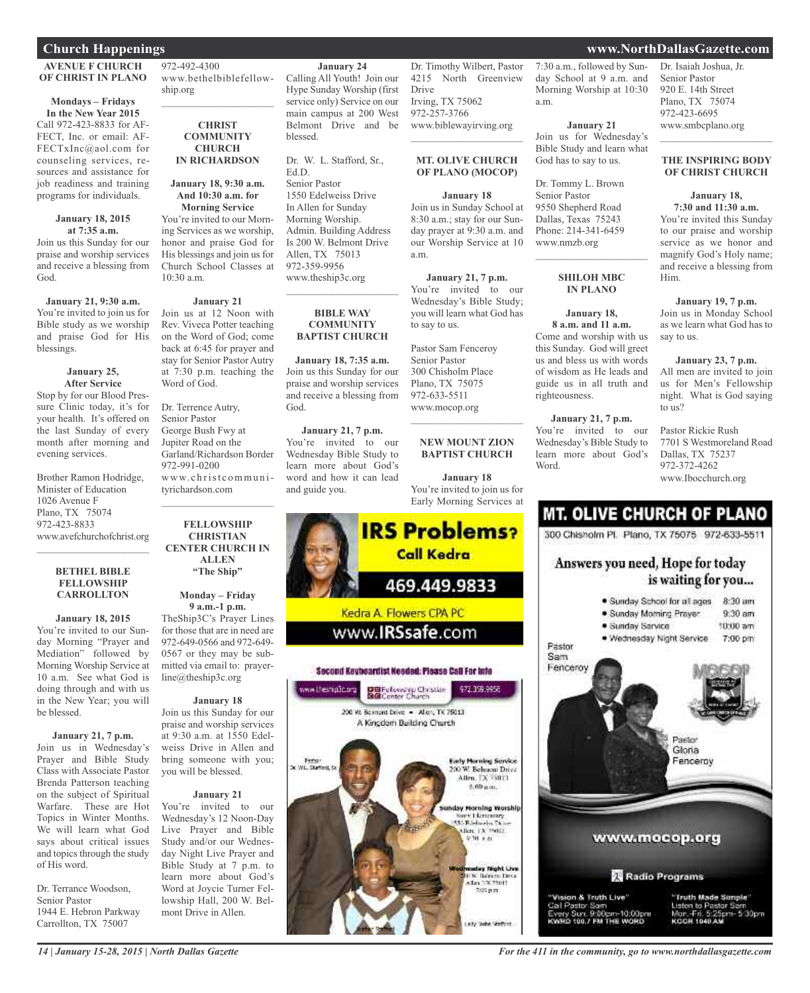### **AVENUE F CHURCH OF CHRIST IN PLANO**

#### **Mondays – Fridays In the New Year 2015**

Call 972-423-8833 for AF-FECT, Inc. or email: AF-FECTxInc@aol.com for counseling services, resources and assistance for job readiness and training programs for individuals.

#### **January 18, 2015 at 7:35 a.m.**

Join us this Sunday for our praise and worship services and receive a blessing from God.

### **January 21, 9:30 a.m.** You're invited to join us for

Bible study as we worship and praise God for His blessings.

#### **January 25, After Service**

Stop by for our Blood Pressure Clinic today, it's for your health. It's offered on the last Sunday of every month after morning and evening services.

Brother Ramon Hodridge, Minister of Education 1026 Avenue F Plano, TX 75074 972-423-8833 www.avefchurchofchrist.org

### **BETHEL BIBLE FELLOWSHIP CARROLLTON**

 $\mathcal{L}$  , and the set of the set of the set of the set of the set of the set of the set of the set of the set of the set of the set of the set of the set of the set of the set of the set of the set of the set of the set

**January 18, 2015** You're invited to our Sunday Morning "Prayer and Mediation" followed by Morning Worship Service at 10 a.m. See what God is doing through and with us in the New Year; you will be blessed.

**January 21, 7 p.m.** Join us in Wednesday's Prayer and Bible Study Class with Associate Pastor Brenda Patterson teaching on the subject of Spiritual Warfare. These are Hot Topics in Winter Months. We will learn what God says about critical issues and topics through the study of His word.

Dr. Terrance Woodson, Senior Pastor 1944 E. Hebron Parkway Carrollton, TX 75007

972-492-4300 ship.org

### **CHRIST COMMUNITY CHURCH IN RICHARDSON**

 $\mathcal{L}_\text{max}$  , which is a set of the set of the set of the set of the set of the set of the set of the set of the set of the set of the set of the set of the set of the set of the set of the set of the set of the set of

**January 18, 9:30 a.m. And 10:30 a.m. for**

**Morning Service** You're invited to our Morning Services as we worship, honor and praise God for His blessings and join us for Church School Classes at 10:30 a.m.

#### **January 21**

Join us at 12 Noon with Rev. Viveca Potter teaching on the Word of God; come back at 6:45 for prayer and stay for Senior Pastor Autry at 7:30 p.m. teaching the Word of God.

Dr. Terrence Autry, Senior Pastor George Bush Fwy at Jupiter Road on the Garland/Richardson Border 972-991-0200 www. c h rist c ommu n ityrichardson.com

#### **FELLOWSHIP CHRISTIAN CENTER CHURCH IN ALLEN "The Ship"**

 $\mathcal{L}_\text{max}$  , which is a set of the set of the set of the set of the set of the set of the set of the set of the set of the set of the set of the set of the set of the set of the set of the set of the set of the set of

### **Monday – Friday 9 a.m.-1 p.m.**

TheShip3C's Prayer Lines for those that are in need are 972-649-0566 and 972-649- 0567 or they may be submitted via email to: prayerline@theship3c.org

#### **January 18** Join us this Sunday for our praise and worship services at 9:30 a.m. at 1550 Edelweiss Drive in Allen and bring someone with you; you will be blessed.

**January 21**

You're invited to our Wednesday's 12 Noon-Day Live Prayer and Bible Study and/or our Wednesday Night Live Prayer and Bible Study at 7 p.m. to learn more about God's Word at Joycie Turner Fellowship Hall, 200 W. Belmont Drive in Allen.

### **January 24**

www.bethelbiblefellow-Calling All Youth! Join our Hype Sunday Worship (first service only) Service on our main campus at 200 West Belmont Drive and be blessed.

> Dr. W. L. Stafford, Sr., Ed.D. Senior Pastor 1550 Edelweiss Drive In Allen for Sunday Morning Worship. Admin. Building Address Is 200 W. Belmont Drive Allen, TX 75013 972-359-9956 www.theship3c.org

#### **BIBLE WAY COMMUNITY BAPTIST CHURCH**

 $\overline{\phantom{a}}$  , and the set of the set of the set of the set of the set of the set of the set of the set of the set of the set of the set of the set of the set of the set of the set of the set of the set of the set of the s

**January 18, 7:35 a.m.** Join us this Sunday for our praise and worship services and receive a blessing from God.

**January 21, 7 p.m.** You're invited to our Wednesday Bible Study to learn more about God's word and how it can lead and guide you.

Dr. Timothy Wilbert, Pastor 4215 North Greenview Drive Irving, TX 75062 972-257-3766 www.biblewayirving.org

### **MT. OLIVE CHURCH OF PLANO (MOCOP) January 18**

 $\mathcal{L}$  , and the set of the set of the set of the set of the set of the set of the set of the set of the set of the set of the set of the set of the set of the set of the set of the set of the set of the set of the set

Join us in Sunday School at 8:30 a.m.; stay for our Sunday prayer at 9:30 a.m. and our Worship Service at 10 a.m.

#### **January 21, 7 p.m.** You're invited to our Wednesday's Bible Study; you will learn what God has to say to us.

Pastor Sam Fenceroy Senior Pastor 300 Chisholm Place Plano, TX 75075 972-633-5511 www.mocop.org  $\mathcal{L}$  , and the set of the set of the set of the set of the set of the set of the set of the set of the set of the set of the set of the set of the set of the set of the set of the set of the set of the set of the set

### **NEW MOUNT ZION BAPTIST CHURCH**

**January 18** You're invited to join us for Early Morning Services at



7:30 a.m., followed by Sunday School at 9 a.m. and Morning Worship at 10:30 a.m.

### **January 21**

Join us for Wednesday's Bible Study and learn what God has to say to us.

Dr. Tommy L. Brown Senior Pastor 9550 Shepherd Road Dallas, Texas 75243 Phone: 214-341-6459 www.nmzb.org

### **SHILOH MBC IN PLANO**

 $\mathcal{L}_\text{max}$  , which is a set of the set of the set of the set of the set of the set of the set of the set of the set of the set of the set of the set of the set of the set of the set of the set of the set of the set of

**January 18,**

**8 a.m. and 11 a.m.** Come and worship with us this Sunday. God will greet us and bless us with words of wisdom as He leads and guide us in all truth and righteousness.

#### **January 21, 7 p.m.**

You're invited to our Wednesday's Bible Study to learn more about God's Word.

Dr. Isaiah Joshua, Jr. Senior Pastor 920 E. 14th Street Plano, TX 75074 972-423-6695 www.smbcplano.org

### **THE INSPIRING BODY OF CHRIST CHURCH**

 $\overline{\phantom{a}}$  , and the set of the set of the set of the set of the set of the set of the set of the set of the set of the set of the set of the set of the set of the set of the set of the set of the set of the set of the s

#### **January 18, 7:30 and 11:30 a.m.** You're invited this Sunday to our praise and worship service as we honor and magnify God's Holy name;

and receive a blessing from

Him.

**January 19, 7 p.m.** Join us in Monday School as we learn what God has to say to us.

**January 23, 7 p.m.** All men are invited to join us for Men's Fellowship night. What is God saying to us?

Pastor Rickie Rush 7701 S Westmoreland Road Dallas, TX 75237 972-372-4262 www.Ibocchurch.org

### **MT. OLIVE CHURCH OF PLANO**

300 Chisholm Pl. Plano, TX 75075 972-633-5511

### Answers you need, Hope for today is waiting for you...



*For the 411 in the community, go to www.northdallasgazette.com*

### **Church Happenings www.NorthDallasGazette.com**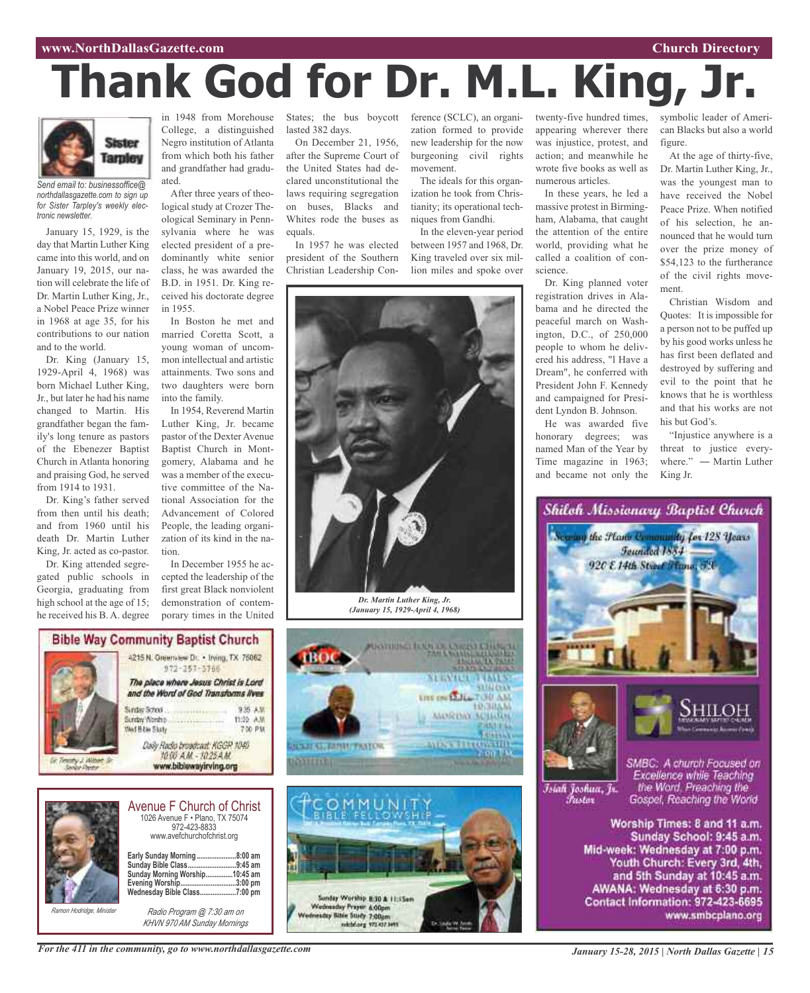### **www.NorthDallasGazette.com Church Directory**

# **Thank God for Dr. M.L. King,**



*northdallasgazette.com to sign up for Sister Tarpley's weekly electronic newsletter.*

January 15, 1929, is the day that Martin Luther King came into this world, and on January 19, 2015, our nation will celebrate the life of Dr. Martin Luther King, Jr., a Nobel Peace Prize winner in 1968 at age 35, for his contributions to our nation and to the world.

Dr. King (January 15, 1929-April 4, 1968) was born Michael Luther King, Jr., but later he had his name changed to Martin. His grandfather began the family's long tenure as pastors of the Ebenezer Baptist Church in Atlanta honoring and praising God, he served from 1914 to 1931.

Dr. King's father served from then until his death; and from 1960 until his death Dr. Martin Luther King, Jr. acted as co-pastor.

Dr. King attended segregated public schools in Georgia, graduating from high school at the age of 15; he received his B. A. degree

in 1948 from Morehouse College, a distinguished Negro institution of Atlanta from which both his father and grandfather had graduated.

After three years of theological study at Crozer Theological Seminary in Pennsylvania where he was elected president of a predominantly white senior class, he was awarded the B.D. in 1951. Dr. King received his doctorate degree in 1955.

In Boston he met and married Coretta Scott, a young woman of uncommon intellectual and artistic attainments. Two sons and two daughters were born into the family.

In 1954, Reverend Martin Luther King, Jr. became pastor of the Dexter Avenue Baptist Church in Montgomery, Alabama and he was a member of the executive committee of the National Association for the Advancement of Colored People, the leading organization of its kind in the nation.

In December 1955 he accepted the leadership of the first great Black nonviolent demonstration of contemporary times in the United

States; the bus boycott ference (SCLC), an organilasted 382 days.

On December 21, 1956, after the Supreme Court of the United States had declared unconstitutional the laws requiring segregation on buses, Blacks and Whites rode the buses as equals.

In 1957 he was elected president of the Southern Christian Leadership Con-







*Ramon Hodridge, Minister*

*Radio Program @ 7:30 am on KHVN 970 AM Sunday Mornings*

1026 Avenue F • Plano, TX 75074 972-423-8833 www.avefchurchofchrist.org



**BEAT GUILDING TAYIOR** 

**SERVICE** 

**UPE ON LALL TOU AM** 

**MORDAY SCHARM** 

**Arts's differential** 

**HROBBAN** 

zation formed to provide new leadership for the now burgeoning civil rights

The ideals for this organization he took from Christianity; its operational techniques from Gandhi.

movement.

In the eleven-year period between 1957 and 1968, Dr. King traveled over six million miles and spoke over

twenty-five hundred times, appearing wherever there was injustice, protest, and action; and meanwhile he wrote five books as well as numerous articles.

In these years, he led a massive protest in Birmingham, Alabama, that caught the attention of the entire world, providing what he called a coalition of conscience.

Dr. King planned voter registration drives in Alabama and he directed the peaceful march on Washington, D.C., of 250,000 people to whom he delivered his address, "l Have a Dream", he conferred with President John F. Kennedy and campaigned for President Lyndon B. Johnson.

He was awarded five honorary degrees; was named Man of the Year by Time magazine in 1963; and became not only the

symbolic leader of American Blacks but also a world figure.

At the age of thirty-five, Dr. Martin Luther King, Jr., was the youngest man to have received the Nobel Peace Prize. When notified of his selection, he announced that he would turn over the prize money of \$54,123 to the furtherance of the civil rights movement.

Christian Wisdom and Quotes: It is impossible for a person not to be puffed up by his good works unless he has first been deflated and destroyed by suffering and evil to the point that he knows that he is worthless and that his works are not his but God's.

"Injustice anywhere is a threat to justice everywhere." — Martin Luther King Jr.



Worship Times: 8 and 11 a.m. Sunday School: 9:45 a.m. Mid-week: Wednesday at 7:00 p.m. Youth Church: Every 3rd, 4th, and 5th Sunday at 10:45 a.m. AWANA: Wednesday at 6:30 p.m. Contact Information: 972-423-6695 www.smbcplano.org